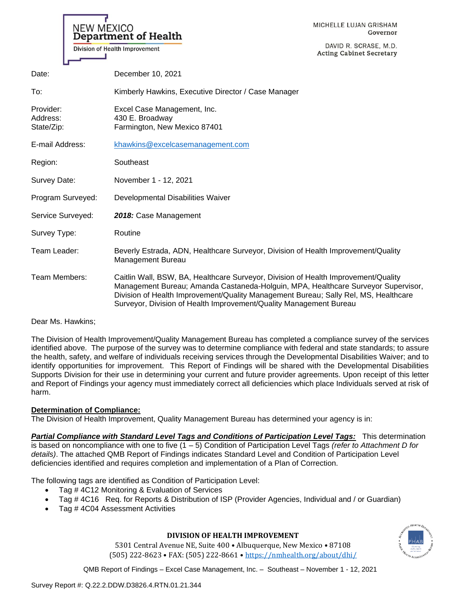MICHELLE LUJAN GRISHAM Governor

DAVID R. SCRASE, M.D. retary

|                                     | TISION OF HUGHER HILDIUTURIUM                                                                                                                                                                                                                                                                                                        | <b>Acting Cabinet Secretary</b> |
|-------------------------------------|--------------------------------------------------------------------------------------------------------------------------------------------------------------------------------------------------------------------------------------------------------------------------------------------------------------------------------------|---------------------------------|
| Date:                               | December 10, 2021                                                                                                                                                                                                                                                                                                                    |                                 |
| To:                                 | Kimberly Hawkins, Executive Director / Case Manager                                                                                                                                                                                                                                                                                  |                                 |
| Provider:<br>Address:<br>State/Zip: | Excel Case Management, Inc.<br>430 E. Broadway<br>Farmington, New Mexico 87401                                                                                                                                                                                                                                                       |                                 |
| E-mail Address:                     | khawkins@excelcasemanagement.com                                                                                                                                                                                                                                                                                                     |                                 |
| Region:                             | Southeast                                                                                                                                                                                                                                                                                                                            |                                 |
| Survey Date:                        | November 1 - 12, 2021                                                                                                                                                                                                                                                                                                                |                                 |
| Program Surveyed:                   | Developmental Disabilities Waiver                                                                                                                                                                                                                                                                                                    |                                 |
| Service Surveyed:                   | 2018: Case Management                                                                                                                                                                                                                                                                                                                |                                 |
| Survey Type:                        | Routine                                                                                                                                                                                                                                                                                                                              |                                 |
| Team Leader:                        | Beverly Estrada, ADN, Healthcare Surveyor, Division of Health Improvement/Quality<br>Management Bureau                                                                                                                                                                                                                               |                                 |
| Team Members:                       | Caitlin Wall, BSW, BA, Healthcare Surveyor, Division of Health Improvement/Quality<br>Management Bureau; Amanda Castaneda-Holguin, MPA, Healthcare Surveyor Supervisor,<br>Division of Health Improvement/Quality Management Bureau; Sally Rel, MS, Healthcare<br>Surveyor, Division of Health Improvement/Quality Management Bureau |                                 |

Dear Ms. Hawkins;

The Division of Health Improvement/Quality Management Bureau has completed a compliance survey of the services identified above. The purpose of the survey was to determine compliance with federal and state standards; to assure the health, safety, and welfare of individuals receiving services through the Developmental Disabilities Waiver; and to identify opportunities for improvement. This Report of Findings will be shared with the Developmental Disabilities Supports Division for their use in determining your current and future provider agreements. Upon receipt of this letter and Report of Findings your agency must immediately correct all deficiencies which place Individuals served at risk of harm.

# **Determination of Compliance:**

NEW MEXICO

Department of Health

Division of Health Improvement

The Division of Health Improvement, Quality Management Bureau has determined your agency is in:

*Partial Compliance with Standard Level Tags and Conditions of Participation Level Tags:* This determination is based on noncompliance with one to five (1 – 5) Condition of Participation Level Tags *(refer to Attachment D for details)*. The attached QMB Report of Findings indicates Standard Level and Condition of Participation Level deficiencies identified and requires completion and implementation of a Plan of Correction.

The following tags are identified as Condition of Participation Level:

- Tag # 4C12 Monitoring & Evaluation of Services
- Tag # 4C16 Req. for Reports & Distribution of ISP (Provider Agencies, Individual and / or Guardian)
- Tag #4C04 Assessment Activities

# **DIVISION OF HEALTH IMPROVEMENT**

5301 Central Avenue NE, Suite 400 • Albuquerque, New Mexico • 87108 (505) 222-8623 • FAX: (505) 222-8661 • <https://nmhealth.org/about/dhi/>

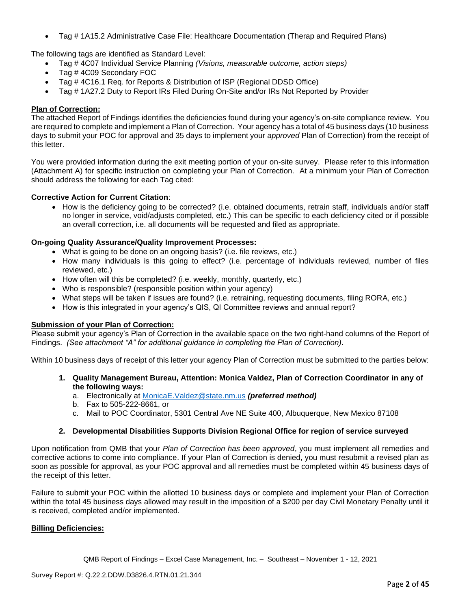• Tag # 1A15.2 Administrative Case File: Healthcare Documentation (Therap and Required Plans)

The following tags are identified as Standard Level:

- Tag # 4C07 Individual Service Planning *(Visions, measurable outcome, action steps)*
- Tag # 4C09 Secondary FOC
- Tag # 4C16.1 Req. for Reports & Distribution of ISP (Regional DDSD Office)
- Tag # 1A27.2 Duty to Report IRs Filed During On-Site and/or IRs Not Reported by Provider

### **Plan of Correction:**

The attached Report of Findings identifies the deficiencies found during your agency's on-site compliance review. You are required to complete and implement a Plan of Correction. Your agency has a total of 45 business days (10 business days to submit your POC for approval and 35 days to implement your *approved* Plan of Correction) from the receipt of this letter.

You were provided information during the exit meeting portion of your on-site survey. Please refer to this information (Attachment A) for specific instruction on completing your Plan of Correction. At a minimum your Plan of Correction should address the following for each Tag cited:

## **Corrective Action for Current Citation**:

• How is the deficiency going to be corrected? (i.e. obtained documents, retrain staff, individuals and/or staff no longer in service, void/adjusts completed, etc.) This can be specific to each deficiency cited or if possible an overall correction, i.e. all documents will be requested and filed as appropriate.

### **On-going Quality Assurance/Quality Improvement Processes:**

- What is going to be done on an ongoing basis? (i.e. file reviews, etc.)
- How many individuals is this going to effect? (i.e. percentage of individuals reviewed, number of files reviewed, etc.)
- How often will this be completed? (i.e. weekly, monthly, quarterly, etc.)
- Who is responsible? (responsible position within your agency)
- What steps will be taken if issues are found? (i.e. retraining, requesting documents, filing RORA, etc.)
- How is this integrated in your agency's QIS, QI Committee reviews and annual report?

### **Submission of your Plan of Correction:**

Please submit your agency's Plan of Correction in the available space on the two right-hand columns of the Report of Findings. *(See attachment "A" for additional guidance in completing the Plan of Correction)*.

Within 10 business days of receipt of this letter your agency Plan of Correction must be submitted to the parties below:

- **1. Quality Management Bureau, Attention: Monica Valdez, Plan of Correction Coordinator in any of the following ways:**
	- a. Electronically at [MonicaE.Valdez@state.nm.us](mailto:MonicaE.Valdez@state.nm.us) *(preferred method)*
	- b. Fax to 505-222-8661, or
	- c. Mail to POC Coordinator, 5301 Central Ave NE Suite 400, Albuquerque, New Mexico 87108

### **2. Developmental Disabilities Supports Division Regional Office for region of service surveyed**

Upon notification from QMB that your *Plan of Correction has been approved*, you must implement all remedies and corrective actions to come into compliance. If your Plan of Correction is denied, you must resubmit a revised plan as soon as possible for approval, as your POC approval and all remedies must be completed within 45 business days of the receipt of this letter.

Failure to submit your POC within the allotted 10 business days or complete and implement your Plan of Correction within the total 45 business days allowed may result in the imposition of a \$200 per day Civil Monetary Penalty until it is received, completed and/or implemented.

### **Billing Deficiencies:**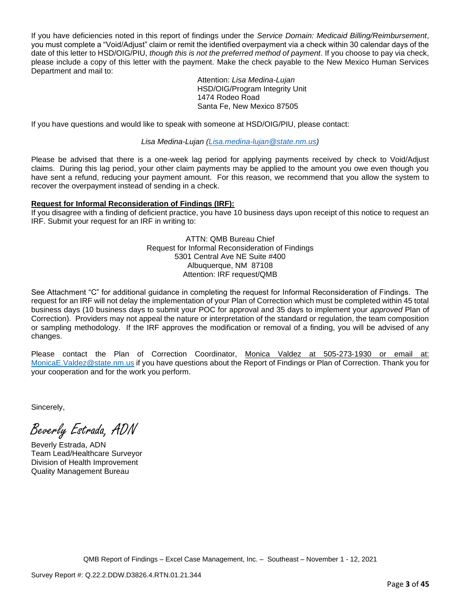If you have deficiencies noted in this report of findings under the *Service Domain: Medicaid Billing/Reimbursement*, you must complete a "Void/Adjust" claim or remit the identified overpayment via a check within 30 calendar days of the date of this letter to HSD/OIG/PIU, *though this is not the preferred method of payment*. If you choose to pay via check, please include a copy of this letter with the payment. Make the check payable to the New Mexico Human Services Department and mail to:

> Attention: *Lisa Medina-Lujan* HSD/OIG/Program Integrity Unit 1474 Rodeo Road Santa Fe, New Mexico 87505

If you have questions and would like to speak with someone at HSD/OIG/PIU, please contact:

*Lisa Medina-Lujan [\(Lisa.medina-lujan@state.nm.us\)](mailto:Lisa.medina-lujan@state.nm.us)*

Please be advised that there is a one-week lag period for applying payments received by check to Void/Adjust claims. During this lag period, your other claim payments may be applied to the amount you owe even though you have sent a refund, reducing your payment amount. For this reason, we recommend that you allow the system to recover the overpayment instead of sending in a check.

## **Request for Informal Reconsideration of Findings (IRF):**

If you disagree with a finding of deficient practice, you have 10 business days upon receipt of this notice to request an IRF. Submit your request for an IRF in writing to:

> ATTN: QMB Bureau Chief Request for Informal Reconsideration of Findings 5301 Central Ave NE Suite #400 Albuquerque, NM 87108 Attention: IRF request/QMB

See Attachment "C" for additional guidance in completing the request for Informal Reconsideration of Findings. The request for an IRF will not delay the implementation of your Plan of Correction which must be completed within 45 total business days (10 business days to submit your POC for approval and 35 days to implement your *approved* Plan of Correction). Providers may not appeal the nature or interpretation of the standard or regulation, the team composition or sampling methodology. If the IRF approves the modification or removal of a finding, you will be advised of any changes.

Please contact the Plan of Correction Coordinator, Monica Valdez at 505-273-1930 or email at: [MonicaE.Valdez@state.nm.us](mailto:MonicaE.Valdez@state.nm.us) if you have questions about the Report of Findings or Plan of Correction. Thank you for your cooperation and for the work you perform.

Sincerely,

Beverly Estrada, ADN

Beverly Estrada, ADN Team Lead/Healthcare Surveyor Division of Health Improvement Quality Management Bureau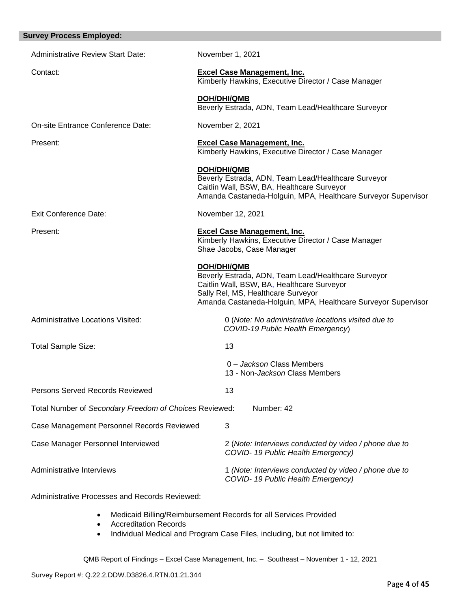| <b>Survey Process Employed:</b>                        |                                                                                                                                                                                                                         |
|--------------------------------------------------------|-------------------------------------------------------------------------------------------------------------------------------------------------------------------------------------------------------------------------|
| <b>Administrative Review Start Date:</b>               | November 1, 2021                                                                                                                                                                                                        |
| Contact:                                               | <b>Excel Case Management, Inc.</b><br>Kimberly Hawkins, Executive Director / Case Manager                                                                                                                               |
|                                                        | <b>DOH/DHI/QMB</b><br>Beverly Estrada, ADN, Team Lead/Healthcare Surveyor                                                                                                                                               |
| On-site Entrance Conference Date:                      | November 2, 2021                                                                                                                                                                                                        |
| Present:                                               | <b>Excel Case Management, Inc.</b><br>Kimberly Hawkins, Executive Director / Case Manager                                                                                                                               |
|                                                        | <b>DOH/DHI/QMB</b><br>Beverly Estrada, ADN, Team Lead/Healthcare Surveyor<br>Caitlin Wall, BSW, BA, Healthcare Surveyor<br>Amanda Castaneda-Holguin, MPA, Healthcare Surveyor Supervisor                                |
| <b>Exit Conference Date:</b>                           | November 12, 2021                                                                                                                                                                                                       |
| Present:                                               | <b>Excel Case Management, Inc.</b><br>Kimberly Hawkins, Executive Director / Case Manager<br>Shae Jacobs, Case Manager                                                                                                  |
|                                                        | DOH/DHI/QMB<br>Beverly Estrada, ADN, Team Lead/Healthcare Surveyor<br>Caitlin Wall, BSW, BA, Healthcare Surveyor<br>Sally Rel, MS, Healthcare Surveyor<br>Amanda Castaneda-Holguin, MPA, Healthcare Surveyor Supervisor |
| <b>Administrative Locations Visited:</b>               | 0 (Note: No administrative locations visited due to<br>COVID-19 Public Health Emergency)                                                                                                                                |
| Total Sample Size:                                     | 13                                                                                                                                                                                                                      |
|                                                        | 0 - Jackson Class Members<br>13 - Non-Jackson Class Members                                                                                                                                                             |
| Persons Served Records Reviewed                        | 13                                                                                                                                                                                                                      |
| Total Number of Secondary Freedom of Choices Reviewed: | Number: 42                                                                                                                                                                                                              |
| Case Management Personnel Records Reviewed             | 3                                                                                                                                                                                                                       |
| Case Manager Personnel Interviewed                     | 2 (Note: Interviews conducted by video / phone due to<br>COVID-19 Public Health Emergency)                                                                                                                              |
| Administrative Interviews                              | 1 (Note: Interviews conducted by video / phone due to<br>COVID-19 Public Health Emergency)                                                                                                                              |

Administrative Processes and Records Reviewed:

- Medicaid Billing/Reimbursement Records for all Services Provided
- Accreditation Records
- Individual Medical and Program Case Files, including, but not limited to: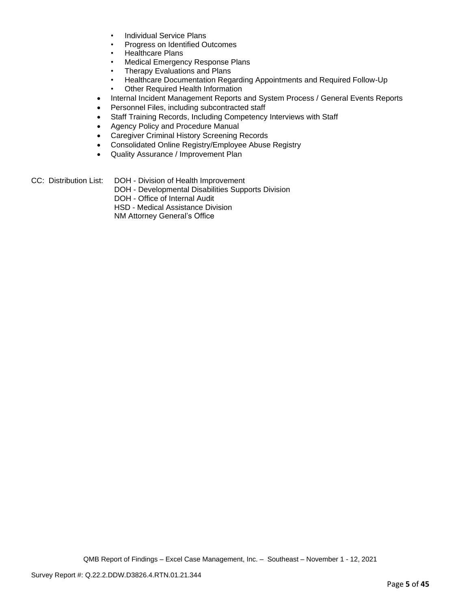- Individual Service Plans
- Progress on Identified Outcomes
- Healthcare Plans
- Medical Emergency Response Plans
- Therapy Evaluations and Plans
- Healthcare Documentation Regarding Appointments and Required Follow-Up
- **Other Required Health Information**
- Internal Incident Management Reports and System Process / General Events Reports
- Personnel Files, including subcontracted staff
- Staff Training Records, Including Competency Interviews with Staff
- Agency Policy and Procedure Manual
- Caregiver Criminal History Screening Records
- Consolidated Online Registry/Employee Abuse Registry
- Quality Assurance / Improvement Plan
- CC: Distribution List: DOH Division of Health Improvement
	- DOH Developmental Disabilities Supports Division
	- DOH Office of Internal Audit
	- HSD Medical Assistance Division

NM Attorney General's Office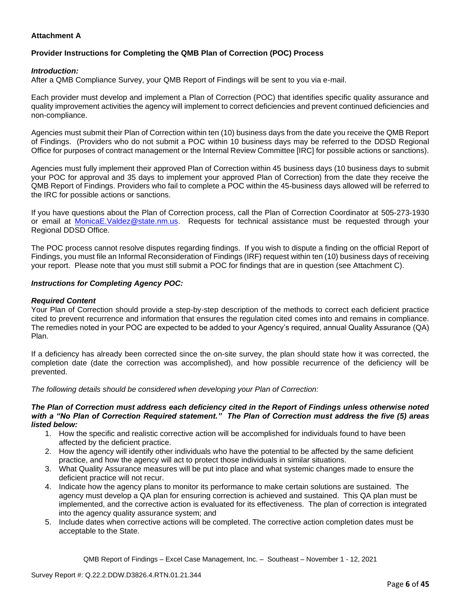# **Attachment A**

# **Provider Instructions for Completing the QMB Plan of Correction (POC) Process**

### *Introduction:*

After a QMB Compliance Survey, your QMB Report of Findings will be sent to you via e-mail.

Each provider must develop and implement a Plan of Correction (POC) that identifies specific quality assurance and quality improvement activities the agency will implement to correct deficiencies and prevent continued deficiencies and non-compliance.

Agencies must submit their Plan of Correction within ten (10) business days from the date you receive the QMB Report of Findings. (Providers who do not submit a POC within 10 business days may be referred to the DDSD Regional Office for purposes of contract management or the Internal Review Committee [IRC] for possible actions or sanctions).

Agencies must fully implement their approved Plan of Correction within 45 business days (10 business days to submit your POC for approval and 35 days to implement your approved Plan of Correction) from the date they receive the QMB Report of Findings. Providers who fail to complete a POC within the 45-business days allowed will be referred to the IRC for possible actions or sanctions.

If you have questions about the Plan of Correction process, call the Plan of Correction Coordinator at 505-273-1930 or email at [MonicaE.Valdez@state.nm.us.](mailto:MonicaE.Valdez@state.nm.us) Requests for technical assistance must be requested through your Regional DDSD Office.

The POC process cannot resolve disputes regarding findings. If you wish to dispute a finding on the official Report of Findings, you must file an Informal Reconsideration of Findings (IRF) request within ten (10) business days of receiving your report. Please note that you must still submit a POC for findings that are in question (see Attachment C).

### *Instructions for Completing Agency POC:*

### *Required Content*

Your Plan of Correction should provide a step-by-step description of the methods to correct each deficient practice cited to prevent recurrence and information that ensures the regulation cited comes into and remains in compliance. The remedies noted in your POC are expected to be added to your Agency's required, annual Quality Assurance (QA) Plan.

If a deficiency has already been corrected since the on-site survey, the plan should state how it was corrected, the completion date (date the correction was accomplished), and how possible recurrence of the deficiency will be prevented.

*The following details should be considered when developing your Plan of Correction:*

#### *The Plan of Correction must address each deficiency cited in the Report of Findings unless otherwise noted with a "No Plan of Correction Required statement." The Plan of Correction must address the five (5) areas listed below:*

- 1. How the specific and realistic corrective action will be accomplished for individuals found to have been affected by the deficient practice.
- 2. How the agency will identify other individuals who have the potential to be affected by the same deficient practice, and how the agency will act to protect those individuals in similar situations.
- 3. What Quality Assurance measures will be put into place and what systemic changes made to ensure the deficient practice will not recur.
- 4. Indicate how the agency plans to monitor its performance to make certain solutions are sustained. The agency must develop a QA plan for ensuring correction is achieved and sustained. This QA plan must be implemented, and the corrective action is evaluated for its effectiveness. The plan of correction is integrated into the agency quality assurance system; and
- 5. Include dates when corrective actions will be completed. The corrective action completion dates must be acceptable to the State.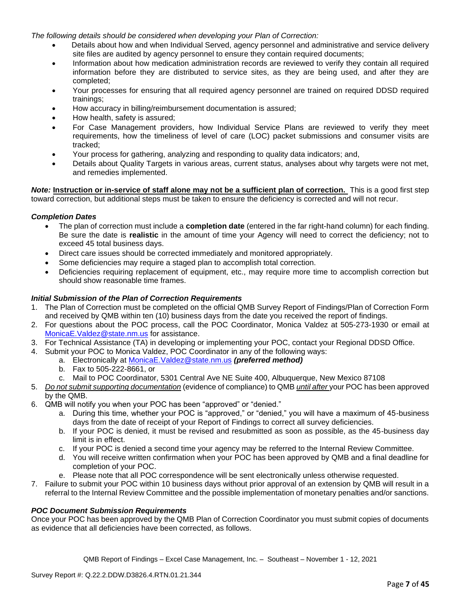*The following details should be considered when developing your Plan of Correction:*

- Details about how and when Individual Served, agency personnel and administrative and service delivery site files are audited by agency personnel to ensure they contain required documents;
- Information about how medication administration records are reviewed to verify they contain all required information before they are distributed to service sites, as they are being used, and after they are completed;
- Your processes for ensuring that all required agency personnel are trained on required DDSD required trainings;
- How accuracy in billing/reimbursement documentation is assured;
- How health, safety is assured;
- For Case Management providers, how Individual Service Plans are reviewed to verify they meet requirements, how the timeliness of level of care (LOC) packet submissions and consumer visits are tracked;
- Your process for gathering, analyzing and responding to quality data indicators; and,
- Details about Quality Targets in various areas, current status, analyses about why targets were not met, and remedies implemented.

*Note:* **Instruction or in-service of staff alone may not be a sufficient plan of correction.** This is a good first step toward correction, but additional steps must be taken to ensure the deficiency is corrected and will not recur.

## *Completion Dates*

- The plan of correction must include a **completion date** (entered in the far right-hand column) for each finding. Be sure the date is **realistic** in the amount of time your Agency will need to correct the deficiency; not to exceed 45 total business days.
- Direct care issues should be corrected immediately and monitored appropriately.
- Some deficiencies may require a staged plan to accomplish total correction.
- Deficiencies requiring replacement of equipment, etc., may require more time to accomplish correction but should show reasonable time frames.

## *Initial Submission of the Plan of Correction Requirements*

- 1. The Plan of Correction must be completed on the official QMB Survey Report of Findings/Plan of Correction Form and received by QMB within ten (10) business days from the date you received the report of findings.
- 2. For questions about the POC process, call the POC Coordinator, Monica Valdez at 505-273-1930 or email at [MonicaE.Valdez@state.nm.us](mailto:MonicaE.Valdez@state.nm.us) for assistance.
- 3. For Technical Assistance (TA) in developing or implementing your POC, contact your Regional DDSD Office.
- 4. Submit your POC to Monica Valdez, POC Coordinator in any of the following ways:
	- a. Electronically at [MonicaE.Valdez@state.nm.us](mailto:MonicaE.Valdez@state.nm.us) *(preferred method)*
	- b. Fax to 505-222-8661, or
	- c. Mail to POC Coordinator, 5301 Central Ave NE Suite 400, Albuquerque, New Mexico 87108
- 5. *Do not submit supporting documentation* (evidence of compliance) to QMB *until after* your POC has been approved by the QMB.
- 6. QMB will notify you when your POC has been "approved" or "denied."
	- a. During this time, whether your POC is "approved," or "denied," you will have a maximum of 45-business days from the date of receipt of your Report of Findings to correct all survey deficiencies.
	- b. If your POC is denied, it must be revised and resubmitted as soon as possible, as the 45-business day limit is in effect.
	- c. If your POC is denied a second time your agency may be referred to the Internal Review Committee.
	- d. You will receive written confirmation when your POC has been approved by QMB and a final deadline for completion of your POC.
	- e. Please note that all POC correspondence will be sent electronically unless otherwise requested.
- 7. Failure to submit your POC within 10 business days without prior approval of an extension by QMB will result in a referral to the Internal Review Committee and the possible implementation of monetary penalties and/or sanctions.

### *POC Document Submission Requirements*

Once your POC has been approved by the QMB Plan of Correction Coordinator you must submit copies of documents as evidence that all deficiencies have been corrected, as follows.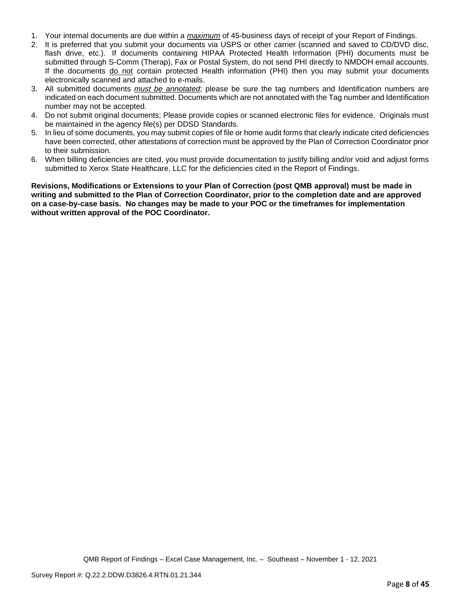- 1. Your internal documents are due within a *maximum* of 45-business days of receipt of your Report of Findings.
- 2. It is preferred that you submit your documents via USPS or other carrier (scanned and saved to CD/DVD disc, flash drive, etc.). If documents containing HIPAA Protected Health Information (PHI) documents must be submitted through S-Comm (Therap), Fax or Postal System, do not send PHI directly to NMDOH email accounts. If the documents do not contain protected Health information (PHI) then you may submit your documents electronically scanned and attached to e-mails.
- 3. All submitted documents *must be annotated*; please be sure the tag numbers and Identification numbers are indicated on each document submitted. Documents which are not annotated with the Tag number and Identification number may not be accepted.
- 4. Do not submit original documents; Please provide copies or scanned electronic files for evidence. Originals must be maintained in the agency file(s) per DDSD Standards.
- 5. In lieu of some documents, you may submit copies of file or home audit forms that clearly indicate cited deficiencies have been corrected, other attestations of correction must be approved by the Plan of Correction Coordinator prior to their submission.
- 6. When billing deficiencies are cited, you must provide documentation to justify billing and/or void and adjust forms submitted to Xerox State Healthcare, LLC for the deficiencies cited in the Report of Findings.

**Revisions, Modifications or Extensions to your Plan of Correction (post QMB approval) must be made in writing and submitted to the Plan of Correction Coordinator, prior to the completion date and are approved on a case-by-case basis. No changes may be made to your POC or the timeframes for implementation without written approval of the POC Coordinator.**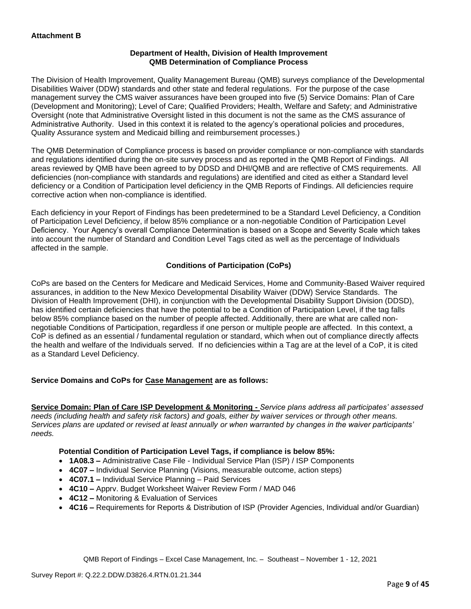## **Department of Health, Division of Health Improvement QMB Determination of Compliance Process**

The Division of Health Improvement, Quality Management Bureau (QMB) surveys compliance of the Developmental Disabilities Waiver (DDW) standards and other state and federal regulations. For the purpose of the case management survey the CMS waiver assurances have been grouped into five (5) Service Domains: Plan of Care (Development and Monitoring); Level of Care; Qualified Providers; Health, Welfare and Safety; and Administrative Oversight (note that Administrative Oversight listed in this document is not the same as the CMS assurance of Administrative Authority. Used in this context it is related to the agency's operational policies and procedures, Quality Assurance system and Medicaid billing and reimbursement processes.)

The QMB Determination of Compliance process is based on provider compliance or non-compliance with standards and regulations identified during the on-site survey process and as reported in the QMB Report of Findings. All areas reviewed by QMB have been agreed to by DDSD and DHI/QMB and are reflective of CMS requirements. All deficiencies (non-compliance with standards and regulations) are identified and cited as either a Standard level deficiency or a Condition of Participation level deficiency in the QMB Reports of Findings. All deficiencies require corrective action when non-compliance is identified.

Each deficiency in your Report of Findings has been predetermined to be a Standard Level Deficiency, a Condition of Participation Level Deficiency, if below 85% compliance or a non-negotiable Condition of Participation Level Deficiency. Your Agency's overall Compliance Determination is based on a Scope and Severity Scale which takes into account the number of Standard and Condition Level Tags cited as well as the percentage of Individuals affected in the sample.

# **Conditions of Participation (CoPs)**

CoPs are based on the Centers for Medicare and Medicaid Services, Home and Community-Based Waiver required assurances, in addition to the New Mexico Developmental Disability Waiver (DDW) Service Standards. The Division of Health Improvement (DHI), in conjunction with the Developmental Disability Support Division (DDSD), has identified certain deficiencies that have the potential to be a Condition of Participation Level, if the tag falls below 85% compliance based on the number of people affected. Additionally, there are what are called nonnegotiable Conditions of Participation, regardless if one person or multiple people are affected. In this context, a CoP is defined as an essential / fundamental regulation or standard, which when out of compliance directly affects the health and welfare of the Individuals served. If no deficiencies within a Tag are at the level of a CoP, it is cited as a Standard Level Deficiency.

# **Service Domains and CoPs for Case Management are as follows:**

**Service Domain: Plan of Care ISP Development & Monitoring -** *Service plans address all participates' assessed needs (including health and safety risk factors) and goals, either by waiver services or through other means. Services plans are updated or revised at least annually or when warranted by changes in the waiver participants' needs.*

# **Potential Condition of Participation Level Tags, if compliance is below 85%:**

- **1A08.3 –** Administrative Case File Individual Service Plan (ISP) / ISP Components
- **4C07 –** Individual Service Planning (Visions, measurable outcome, action steps)
- **4C07.1 –** Individual Service Planning Paid Services
- **4C10 –** Apprv. Budget Worksheet Waiver Review Form / MAD 046
- **4C12 –** Monitoring & Evaluation of Services
- **4C16 –** Requirements for Reports & Distribution of ISP (Provider Agencies, Individual and/or Guardian)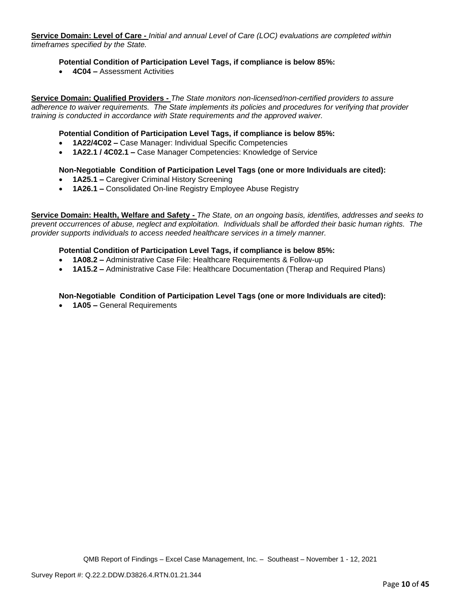**Service Domain: Level of Care -** *Initial and annual Level of Care (LOC) evaluations are completed within timeframes specified by the State.*

### **Potential Condition of Participation Level Tags, if compliance is below 85%:**

• **4C04 –** Assessment Activities

**Service Domain: Qualified Providers -** *The State monitors non-licensed/non-certified providers to assure adherence to waiver requirements. The State implements its policies and procedures for verifying that provider training is conducted in accordance with State requirements and the approved waiver.*

### **Potential Condition of Participation Level Tags, if compliance is below 85%:**

- **1A22/4C02 –** Case Manager: Individual Specific Competencies
- **1A22.1 / 4C02.1 –** Case Manager Competencies: Knowledge of Service

#### **Non-Negotiable Condition of Participation Level Tags (one or more Individuals are cited):**

- **1A25.1 –** Caregiver Criminal History Screening
- **1A26.1 –** Consolidated On-line Registry Employee Abuse Registry

**Service Domain: Health, Welfare and Safety -** *The State, on an ongoing basis, identifies, addresses and seeks to prevent occurrences of abuse, neglect and exploitation. Individuals shall be afforded their basic human rights. The provider supports individuals to access needed healthcare services in a timely manner.*

#### **Potential Condition of Participation Level Tags, if compliance is below 85%:**

- **1A08.2 –** Administrative Case File: Healthcare Requirements & Follow-up
- **1A15.2 –** Administrative Case File: Healthcare Documentation (Therap and Required Plans)

### **Non-Negotiable Condition of Participation Level Tags (one or more Individuals are cited):**

• **1A05 –** General Requirements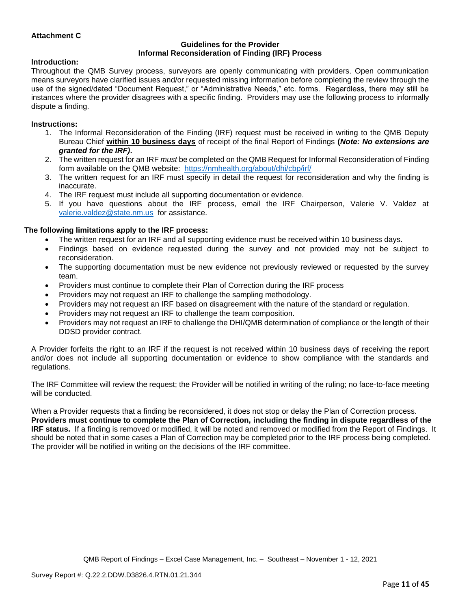## **Attachment C**

#### **Guidelines for the Provider Informal Reconsideration of Finding (IRF) Process**

#### **Introduction:**

Throughout the QMB Survey process, surveyors are openly communicating with providers. Open communication means surveyors have clarified issues and/or requested missing information before completing the review through the use of the signed/dated "Document Request," or "Administrative Needs," etc. forms. Regardless, there may still be instances where the provider disagrees with a specific finding. Providers may use the following process to informally dispute a finding.

#### **Instructions:**

- 1. The Informal Reconsideration of the Finding (IRF) request must be received in writing to the QMB Deputy Bureau Chief **within 10 business days** of receipt of the final Report of Findings **(***Note: No extensions are granted for the IRF)***.**
- 2. The written request for an IRF *must* be completed on the QMB Request for Informal Reconsideration of Finding form available on the QMB website: <https://nmhealth.org/about/dhi/cbp/irf/>
- 3. The written request for an IRF must specify in detail the request for reconsideration and why the finding is inaccurate.
- 4. The IRF request must include all supporting documentation or evidence.
- 5. If you have questions about the IRF process, email the IRF Chairperson, Valerie V. Valdez at [valerie.valdez@state.nm.us](mailto:valerie.valdez@state.nm.us) for assistance.

#### **The following limitations apply to the IRF process:**

- The written request for an IRF and all supporting evidence must be received within 10 business days.
- Findings based on evidence requested during the survey and not provided may not be subject to reconsideration.
- The supporting documentation must be new evidence not previously reviewed or requested by the survey team.
- Providers must continue to complete their Plan of Correction during the IRF process
- Providers may not request an IRF to challenge the sampling methodology.
- Providers may not request an IRF based on disagreement with the nature of the standard or regulation.
- Providers may not request an IRF to challenge the team composition.
- Providers may not request an IRF to challenge the DHI/QMB determination of compliance or the length of their DDSD provider contract.

A Provider forfeits the right to an IRF if the request is not received within 10 business days of receiving the report and/or does not include all supporting documentation or evidence to show compliance with the standards and regulations.

The IRF Committee will review the request; the Provider will be notified in writing of the ruling; no face-to-face meeting will be conducted.

When a Provider requests that a finding be reconsidered, it does not stop or delay the Plan of Correction process. **Providers must continue to complete the Plan of Correction, including the finding in dispute regardless of the IRF status.** If a finding is removed or modified, it will be noted and removed or modified from the Report of Findings. It should be noted that in some cases a Plan of Correction may be completed prior to the IRF process being completed. The provider will be notified in writing on the decisions of the IRF committee.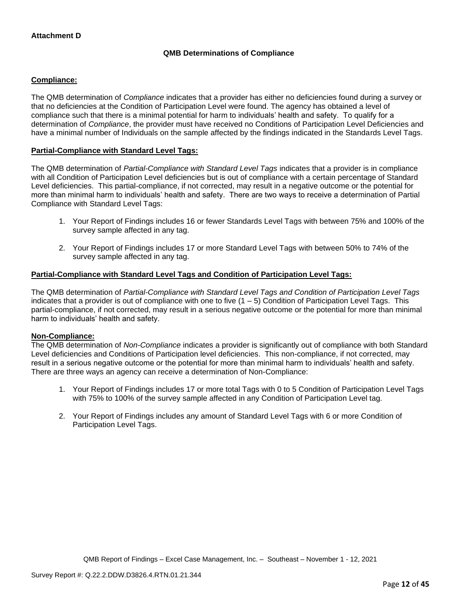# **QMB Determinations of Compliance**

## **Compliance:**

The QMB determination of *Compliance* indicates that a provider has either no deficiencies found during a survey or that no deficiencies at the Condition of Participation Level were found. The agency has obtained a level of compliance such that there is a minimal potential for harm to individuals' health and safety. To qualify for a determination of *Compliance*, the provider must have received no Conditions of Participation Level Deficiencies and have a minimal number of Individuals on the sample affected by the findings indicated in the Standards Level Tags.

## **Partial-Compliance with Standard Level Tags:**

The QMB determination of *Partial-Compliance with Standard Level Tags* indicates that a provider is in compliance with all Condition of Participation Level deficiencies but is out of compliance with a certain percentage of Standard Level deficiencies. This partial-compliance, if not corrected, may result in a negative outcome or the potential for more than minimal harm to individuals' health and safety. There are two ways to receive a determination of Partial Compliance with Standard Level Tags:

- 1. Your Report of Findings includes 16 or fewer Standards Level Tags with between 75% and 100% of the survey sample affected in any tag.
- 2. Your Report of Findings includes 17 or more Standard Level Tags with between 50% to 74% of the survey sample affected in any tag.

## **Partial-Compliance with Standard Level Tags and Condition of Participation Level Tags:**

The QMB determination of *Partial-Compliance with Standard Level Tags and Condition of Participation Level Tags*  indicates that a provider is out of compliance with one to five  $(1 - 5)$  Condition of Participation Level Tags. This partial-compliance, if not corrected, may result in a serious negative outcome or the potential for more than minimal harm to individuals' health and safety.

### **Non-Compliance:**

The QMB determination of *Non-Compliance* indicates a provider is significantly out of compliance with both Standard Level deficiencies and Conditions of Participation level deficiencies. This non-compliance, if not corrected, may result in a serious negative outcome or the potential for more than minimal harm to individuals' health and safety. There are three ways an agency can receive a determination of Non-Compliance:

- 1. Your Report of Findings includes 17 or more total Tags with 0 to 5 Condition of Participation Level Tags with 75% to 100% of the survey sample affected in any Condition of Participation Level tag.
- 2. Your Report of Findings includes any amount of Standard Level Tags with 6 or more Condition of Participation Level Tags.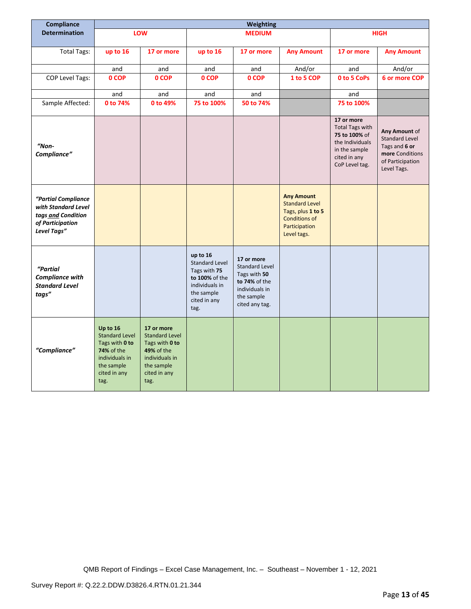| Compliance                                                                                          | Weighting                                                                                                                 |                                                                                                                                    |                                                                                                                             |                                                                                                                        |                                                                                                                         |                                                                                                                             |                                                                                                               |
|-----------------------------------------------------------------------------------------------------|---------------------------------------------------------------------------------------------------------------------------|------------------------------------------------------------------------------------------------------------------------------------|-----------------------------------------------------------------------------------------------------------------------------|------------------------------------------------------------------------------------------------------------------------|-------------------------------------------------------------------------------------------------------------------------|-----------------------------------------------------------------------------------------------------------------------------|---------------------------------------------------------------------------------------------------------------|
| <b>Determination</b>                                                                                |                                                                                                                           | <b>LOW</b>                                                                                                                         |                                                                                                                             | <b>MEDIUM</b>                                                                                                          |                                                                                                                         | <b>HIGH</b>                                                                                                                 |                                                                                                               |
|                                                                                                     |                                                                                                                           |                                                                                                                                    |                                                                                                                             |                                                                                                                        |                                                                                                                         |                                                                                                                             |                                                                                                               |
| <b>Total Tags:</b>                                                                                  | up to 16                                                                                                                  | 17 or more                                                                                                                         | up to 16                                                                                                                    | 17 or more                                                                                                             | <b>Any Amount</b>                                                                                                       | 17 or more                                                                                                                  | <b>Any Amount</b>                                                                                             |
|                                                                                                     | and                                                                                                                       | and                                                                                                                                | and                                                                                                                         | and                                                                                                                    | And/or                                                                                                                  | and                                                                                                                         | And/or                                                                                                        |
| <b>COP Level Tags:</b>                                                                              | 0 COP                                                                                                                     | 0 COP                                                                                                                              | 0 COP                                                                                                                       | 0 COP                                                                                                                  | 1 to 5 COP                                                                                                              | 0 to 5 CoPs                                                                                                                 | 6 or more COP                                                                                                 |
|                                                                                                     | and                                                                                                                       | and                                                                                                                                | and                                                                                                                         | and                                                                                                                    |                                                                                                                         | and                                                                                                                         |                                                                                                               |
| Sample Affected:                                                                                    | 0 to 74%                                                                                                                  | 0 to 49%                                                                                                                           | 75 to 100%                                                                                                                  | 50 to 74%                                                                                                              |                                                                                                                         | 75 to 100%                                                                                                                  |                                                                                                               |
| "Non-<br>Compliance"                                                                                |                                                                                                                           |                                                                                                                                    |                                                                                                                             |                                                                                                                        |                                                                                                                         | 17 or more<br><b>Total Tags with</b><br>75 to 100% of<br>the Individuals<br>in the sample<br>cited in any<br>CoP Level tag. | Any Amount of<br><b>Standard Level</b><br>Tags and 6 or<br>more Conditions<br>of Participation<br>Level Tags. |
| "Partial Compliance<br>with Standard Level<br>tags and Condition<br>of Participation<br>Level Tags" |                                                                                                                           |                                                                                                                                    |                                                                                                                             |                                                                                                                        | <b>Any Amount</b><br><b>Standard Level</b><br>Tags, plus 1 to 5<br><b>Conditions of</b><br>Participation<br>Level tags. |                                                                                                                             |                                                                                                               |
| "Partial<br>Compliance with<br><b>Standard Level</b><br>tags"                                       |                                                                                                                           |                                                                                                                                    | up to 16<br><b>Standard Level</b><br>Tags with 75<br>to 100% of the<br>individuals in<br>the sample<br>cited in any<br>tag. | 17 or more<br><b>Standard Level</b><br>Tags with 50<br>to 74% of the<br>individuals in<br>the sample<br>cited any tag. |                                                                                                                         |                                                                                                                             |                                                                                                               |
| "Compliance"                                                                                        | Up to 16<br><b>Standard Level</b><br>Tags with 0 to<br>74% of the<br>individuals in<br>the sample<br>cited in any<br>tag. | 17 or more<br><b>Standard Level</b><br>Tags with 0 to<br><b>49% of the</b><br>individuals in<br>the sample<br>cited in any<br>tag. |                                                                                                                             |                                                                                                                        |                                                                                                                         |                                                                                                                             |                                                                                                               |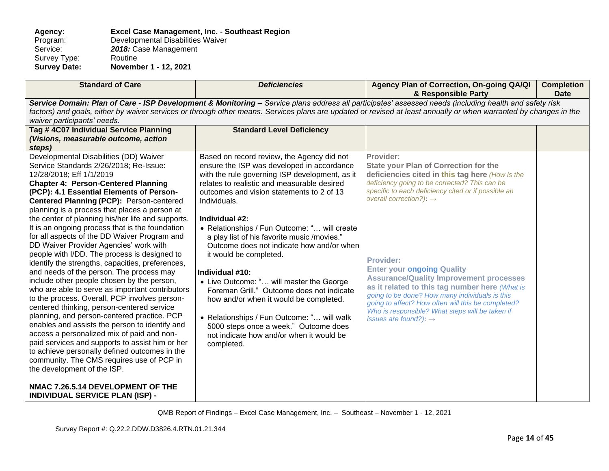**Agency: Excel Case Management, Inc. - Southeast Region** Program: Developmental Disabilities Waiver<br>Service: 2018: Case Management 2018: Case Management<br>Routine Survey Type:<br>Survey Date: **Survey Date: November 1 - 12, 2021**

| <b>Standard of Care</b>                                                                                                                                                                                                                                                                                                                                                                                                                                                                                                                                                                                                                                                                                                                                                                                                                                                                                                                                                                                                                                                                                                                                                                                                   | <b>Deficiencies</b>                                                                                                                                                                                                                                                                                                                                                                                                                                                                                                                                                                                                                                                                                                                                   | Agency Plan of Correction, On-going QA/QI<br>& Responsible Party                                                                                                                                                                                                                                                                                                                                                                                                                                                                                                                                                         | <b>Completion</b><br><b>Date</b> |  |
|---------------------------------------------------------------------------------------------------------------------------------------------------------------------------------------------------------------------------------------------------------------------------------------------------------------------------------------------------------------------------------------------------------------------------------------------------------------------------------------------------------------------------------------------------------------------------------------------------------------------------------------------------------------------------------------------------------------------------------------------------------------------------------------------------------------------------------------------------------------------------------------------------------------------------------------------------------------------------------------------------------------------------------------------------------------------------------------------------------------------------------------------------------------------------------------------------------------------------|-------------------------------------------------------------------------------------------------------------------------------------------------------------------------------------------------------------------------------------------------------------------------------------------------------------------------------------------------------------------------------------------------------------------------------------------------------------------------------------------------------------------------------------------------------------------------------------------------------------------------------------------------------------------------------------------------------------------------------------------------------|--------------------------------------------------------------------------------------------------------------------------------------------------------------------------------------------------------------------------------------------------------------------------------------------------------------------------------------------------------------------------------------------------------------------------------------------------------------------------------------------------------------------------------------------------------------------------------------------------------------------------|----------------------------------|--|
| Service Domain: Plan of Care - ISP Development & Monitoring - Service plans address all participates' assessed needs (including health and safety risk<br>factors) and goals, either by waiver services or through other means. Services plans are updated or revised at least annually or when warranted by changes in the<br>waiver participants' needs.                                                                                                                                                                                                                                                                                                                                                                                                                                                                                                                                                                                                                                                                                                                                                                                                                                                                |                                                                                                                                                                                                                                                                                                                                                                                                                                                                                                                                                                                                                                                                                                                                                       |                                                                                                                                                                                                                                                                                                                                                                                                                                                                                                                                                                                                                          |                                  |  |
| Tag # 4C07 Individual Service Planning<br>(Visions, measurable outcome, action<br>steps)                                                                                                                                                                                                                                                                                                                                                                                                                                                                                                                                                                                                                                                                                                                                                                                                                                                                                                                                                                                                                                                                                                                                  | <b>Standard Level Deficiency</b>                                                                                                                                                                                                                                                                                                                                                                                                                                                                                                                                                                                                                                                                                                                      |                                                                                                                                                                                                                                                                                                                                                                                                                                                                                                                                                                                                                          |                                  |  |
| Developmental Disabilities (DD) Waiver<br>Service Standards 2/26/2018; Re-Issue:<br>12/28/2018; Eff 1/1/2019<br><b>Chapter 4: Person-Centered Planning</b><br>(PCP): 4.1 Essential Elements of Person-<br>Centered Planning (PCP): Person-centered<br>planning is a process that places a person at<br>the center of planning his/her life and supports.<br>It is an ongoing process that is the foundation<br>for all aspects of the DD Waiver Program and<br>DD Waiver Provider Agencies' work with<br>people with I/DD. The process is designed to<br>identify the strengths, capacities, preferences,<br>and needs of the person. The process may<br>include other people chosen by the person,<br>who are able to serve as important contributors<br>to the process. Overall, PCP involves person-<br>centered thinking, person-centered service<br>planning, and person-centered practice. PCP<br>enables and assists the person to identify and<br>access a personalized mix of paid and non-<br>paid services and supports to assist him or her<br>to achieve personally defined outcomes in the<br>community. The CMS requires use of PCP in<br>the development of the ISP.<br>NMAC 7.26.5.14 DEVELOPMENT OF THE | Based on record review, the Agency did not<br>ensure the ISP was developed in accordance<br>with the rule governing ISP development, as it<br>relates to realistic and measurable desired<br>outcomes and vision statements to 2 of 13<br>Individuals.<br>Individual #2:<br>• Relationships / Fun Outcome: " will create<br>a play list of his favorite music /movies."<br>Outcome does not indicate how and/or when<br>it would be completed.<br>Individual #10:<br>• Live Outcome: " will master the George<br>Foreman Grill." Outcome does not indicate<br>how and/or when it would be completed.<br>• Relationships / Fun Outcome: " will walk<br>5000 steps once a week." Outcome does<br>not indicate how and/or when it would be<br>completed. | Provider:<br><b>State your Plan of Correction for the</b><br>deficiencies cited in this tag here (How is the<br>deficiency going to be corrected? This can be<br>specific to each deficiency cited or if possible an<br>overall correction?): $\rightarrow$<br><b>Provider:</b><br><b>Enter your ongoing Quality</b><br><b>Assurance/Quality Improvement processes</b><br>as it related to this tag number here (What is<br>going to be done? How many individuals is this<br>going to affect? How often will this be completed?<br>Who is responsible? What steps will be taken if<br>issues are found?): $\rightarrow$ |                                  |  |
| <b>INDIVIDUAL SERVICE PLAN (ISP) -</b>                                                                                                                                                                                                                                                                                                                                                                                                                                                                                                                                                                                                                                                                                                                                                                                                                                                                                                                                                                                                                                                                                                                                                                                    |                                                                                                                                                                                                                                                                                                                                                                                                                                                                                                                                                                                                                                                                                                                                                       |                                                                                                                                                                                                                                                                                                                                                                                                                                                                                                                                                                                                                          |                                  |  |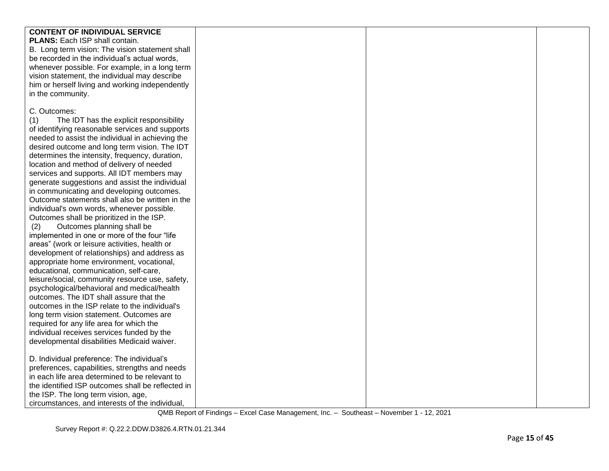| <b>CONTENT OF INDIVIDUAL SERVICE</b><br>PLANS: Each ISP shall contain. |
|------------------------------------------------------------------------|
|                                                                        |
|                                                                        |
| B. Long term vision: The vision statement shall                        |
| be recorded in the individual's actual words,                          |
|                                                                        |
| whenever possible. For example, in a long term                         |
| vision statement, the individual may describe                          |
| him or herself living and working independently                        |
| in the community.                                                      |
|                                                                        |
| C. Outcomes:                                                           |
| The IDT has the explicit responsibility<br>(1)                         |
| of identifying reasonable services and supports                        |
| needed to assist the individual in achieving the                       |
| desired outcome and long term vision. The IDT                          |
| determines the intensity, frequency, duration,                         |
| location and method of delivery of needed                              |
|                                                                        |
| services and supports. All IDT members may                             |
| generate suggestions and assist the individual                         |
| in communicating and developing outcomes.                              |
| Outcome statements shall also be written in the                        |
| individual's own words, whenever possible.                             |
| Outcomes shall be prioritized in the ISP.                              |
| Outcomes planning shall be<br>(2)                                      |
| implemented in one or more of the four "life                           |
| areas" (work or leisure activities, health or                          |
| development of relationships) and address as                           |
| appropriate home environment, vocational,                              |
| educational, communication, self-care,                                 |
| leisure/social, community resource use, safety,                        |
| psychological/behavioral and medical/health                            |
| outcomes. The IDT shall assure that the                                |
| outcomes in the ISP relate to the individual's                         |
|                                                                        |
| long term vision statement. Outcomes are                               |
| required for any life area for which the                               |
| individual receives services funded by the                             |
| developmental disabilities Medicaid waiver.                            |
|                                                                        |
| D. Individual preference: The individual's                             |
| preferences, capabilities, strengths and needs                         |
| in each life area determined to be relevant to                         |
| the identified ISP outcomes shall be reflected in                      |
| the ISP. The long term vision, age,                                    |
| circumstances, and interests of the individual,                        |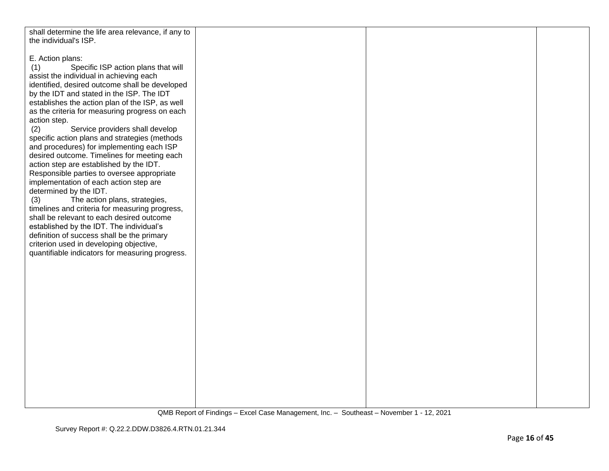| shall determine the life area relevance, if any to |  |  |
|----------------------------------------------------|--|--|
|                                                    |  |  |
| the individual's ISP.                              |  |  |
|                                                    |  |  |
| E. Action plans:                                   |  |  |
| Specific ISP action plans that will<br>(1)         |  |  |
| assist the individual in achieving each            |  |  |
|                                                    |  |  |
| identified, desired outcome shall be developed     |  |  |
| by the IDT and stated in the ISP. The IDT          |  |  |
| establishes the action plan of the ISP, as well    |  |  |
| as the criteria for measuring progress on each     |  |  |
| action step.                                       |  |  |
|                                                    |  |  |
| Service providers shall develop<br>(2)             |  |  |
| specific action plans and strategies (methods      |  |  |
| and procedures) for implementing each ISP          |  |  |
| desired outcome. Timelines for meeting each        |  |  |
| action step are established by the IDT.            |  |  |
|                                                    |  |  |
| Responsible parties to oversee appropriate         |  |  |
| implementation of each action step are             |  |  |
| determined by the IDT.                             |  |  |
| The action plans, strategies,<br>(3)               |  |  |
| timelines and criteria for measuring progress,     |  |  |
|                                                    |  |  |
| shall be relevant to each desired outcome          |  |  |
| established by the IDT. The individual's           |  |  |
| definition of success shall be the primary         |  |  |
| criterion used in developing objective,            |  |  |
| quantifiable indicators for measuring progress.    |  |  |
|                                                    |  |  |
|                                                    |  |  |
|                                                    |  |  |
|                                                    |  |  |
|                                                    |  |  |
|                                                    |  |  |
|                                                    |  |  |
|                                                    |  |  |
|                                                    |  |  |
|                                                    |  |  |
|                                                    |  |  |
|                                                    |  |  |
|                                                    |  |  |
|                                                    |  |  |
|                                                    |  |  |
|                                                    |  |  |
|                                                    |  |  |
|                                                    |  |  |
|                                                    |  |  |
|                                                    |  |  |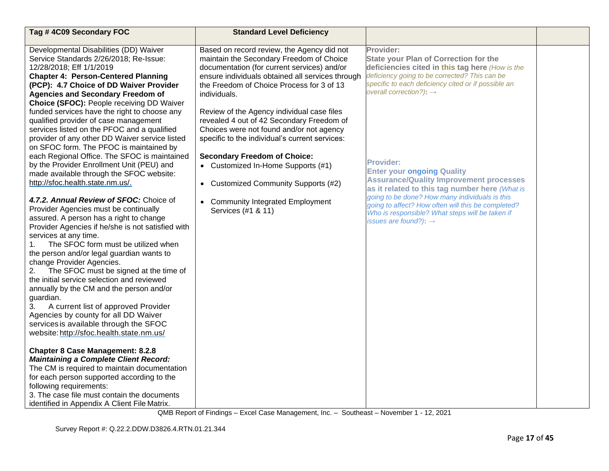| Tag #4C09 Secondary FOC                                                                                                                                                                                                                                                                                                                                                                                                                                                                                                                                                  | <b>Standard Level Deficiency</b>                                                                                                                                                                                                                                   |                                                                                                                                                                                                                                                                                                  |  |
|--------------------------------------------------------------------------------------------------------------------------------------------------------------------------------------------------------------------------------------------------------------------------------------------------------------------------------------------------------------------------------------------------------------------------------------------------------------------------------------------------------------------------------------------------------------------------|--------------------------------------------------------------------------------------------------------------------------------------------------------------------------------------------------------------------------------------------------------------------|--------------------------------------------------------------------------------------------------------------------------------------------------------------------------------------------------------------------------------------------------------------------------------------------------|--|
| Developmental Disabilities (DD) Waiver<br>Service Standards 2/26/2018; Re-Issue:<br>12/28/2018; Eff 1/1/2019<br><b>Chapter 4: Person-Centered Planning</b><br>(PCP): 4.7 Choice of DD Waiver Provider<br><b>Agencies and Secondary Freedom of</b><br>Choice (SFOC): People receiving DD Waiver                                                                                                                                                                                                                                                                           | Based on record review, the Agency did not<br>maintain the Secondary Freedom of Choice<br>documentation (for current services) and/or<br>ensure individuals obtained all services through<br>the Freedom of Choice Process for 3 of 13<br>individuals.             | Provider:<br><b>State your Plan of Correction for the</b><br>deficiencies cited in this tag here (How is the<br>deficiency going to be corrected? This can be<br>specific to each deficiency cited or if possible an<br>overall correction?): $\rightarrow$                                      |  |
| funded services have the right to choose any<br>qualified provider of case management<br>services listed on the PFOC and a qualified<br>provider of any other DD Waiver service listed<br>on SFOC form. The PFOC is maintained by<br>each Regional Office. The SFOC is maintained<br>by the Provider Enrollment Unit (PEU) and<br>made available through the SFOC website:                                                                                                                                                                                               | Review of the Agency individual case files<br>revealed 4 out of 42 Secondary Freedom of<br>Choices were not found and/or not agency<br>specific to the individual's current services:<br><b>Secondary Freedom of Choice:</b><br>• Customized In-Home Supports (#1) | <b>Provider:</b><br><b>Enter your ongoing Quality</b>                                                                                                                                                                                                                                            |  |
| http://sfoc.health.state.nm.us/.<br>4.7.2. Annual Review of SFOC: Choice of<br>Provider Agencies must be continually<br>assured. A person has a right to change<br>Provider Agencies if he/she is not satisfied with<br>services at any time.<br>The SFOC form must be utilized when<br>1.<br>the person and/or legal guardian wants to<br>change Provider Agencies.<br>The SFOC must be signed at the time of<br>2.<br>the initial service selection and reviewed<br>annually by the CM and the person and/or<br>guardian.<br>3.<br>A current list of approved Provider | <b>Customized Community Supports (#2)</b><br>$\bullet$<br><b>Community Integrated Employment</b><br>$\bullet$<br>Services (#1 & 11)                                                                                                                                | <b>Assurance/Quality Improvement processes</b><br>as it related to this tag number here (What is<br>going to be done? How many individuals is this<br>going to affect? How often will this be completed?<br>Who is responsible? What steps will be taken if<br>issues are found?): $\rightarrow$ |  |
| Agencies by county for all DD Waiver<br>services is available through the SFOC<br>website: http://sfoc.health.state.nm.us/<br><b>Chapter 8 Case Management: 8.2.8</b><br><b>Maintaining a Complete Client Record:</b><br>The CM is required to maintain documentation<br>for each person supported according to the<br>following requirements:<br>3. The case file must contain the documents<br>identified in Appendix A Client File Matrix.                                                                                                                            |                                                                                                                                                                                                                                                                    |                                                                                                                                                                                                                                                                                                  |  |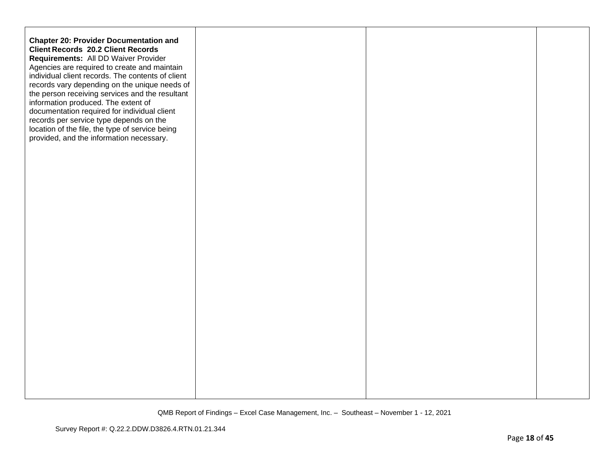| <b>Chapter 20: Provider Documentation and</b><br><b>Client Records 20.2 Client Records</b><br>Requirements: All DD Waiver Provider<br>Agencies are required to create and maintain<br>individual client records. The contents of client<br>records vary depending on the unique needs of<br>the person receiving services and the resultant<br>information produced. The extent of<br>documentation required for individual client<br>records per service type depends on the<br>location of the file, the type of service being<br>provided, and the information necessary. |  |  |
|------------------------------------------------------------------------------------------------------------------------------------------------------------------------------------------------------------------------------------------------------------------------------------------------------------------------------------------------------------------------------------------------------------------------------------------------------------------------------------------------------------------------------------------------------------------------------|--|--|
|                                                                                                                                                                                                                                                                                                                                                                                                                                                                                                                                                                              |  |  |
|                                                                                                                                                                                                                                                                                                                                                                                                                                                                                                                                                                              |  |  |
|                                                                                                                                                                                                                                                                                                                                                                                                                                                                                                                                                                              |  |  |
|                                                                                                                                                                                                                                                                                                                                                                                                                                                                                                                                                                              |  |  |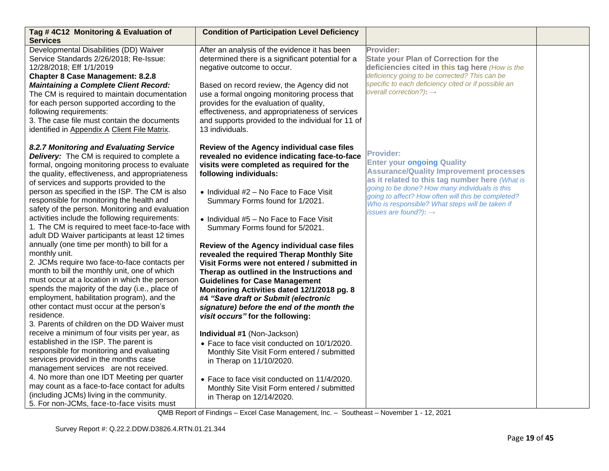| Tag #4C12 Monitoring & Evaluation of<br><b>Services</b>                                                                                                                                                                                                                                                                                                                                                                                                                                                                                                                                                                                                                                                                                                                                                                                                                                                                                                                                                                                                                                                                                                                                                                                                                                                                                                                                       | <b>Condition of Participation Level Deficiency</b>                                                                                                                                                                                                                                                                                                                                                                                                                                                                                                                                                                                                                                                                                                                                                                                                                                                                                                                                                                           |                                                                                                                                                                                                                                                                                                                                                           |  |
|-----------------------------------------------------------------------------------------------------------------------------------------------------------------------------------------------------------------------------------------------------------------------------------------------------------------------------------------------------------------------------------------------------------------------------------------------------------------------------------------------------------------------------------------------------------------------------------------------------------------------------------------------------------------------------------------------------------------------------------------------------------------------------------------------------------------------------------------------------------------------------------------------------------------------------------------------------------------------------------------------------------------------------------------------------------------------------------------------------------------------------------------------------------------------------------------------------------------------------------------------------------------------------------------------------------------------------------------------------------------------------------------------|------------------------------------------------------------------------------------------------------------------------------------------------------------------------------------------------------------------------------------------------------------------------------------------------------------------------------------------------------------------------------------------------------------------------------------------------------------------------------------------------------------------------------------------------------------------------------------------------------------------------------------------------------------------------------------------------------------------------------------------------------------------------------------------------------------------------------------------------------------------------------------------------------------------------------------------------------------------------------------------------------------------------------|-----------------------------------------------------------------------------------------------------------------------------------------------------------------------------------------------------------------------------------------------------------------------------------------------------------------------------------------------------------|--|
| Developmental Disabilities (DD) Waiver<br>Service Standards 2/26/2018; Re-Issue:<br>12/28/2018; Eff 1/1/2019<br><b>Chapter 8 Case Management: 8.2.8</b><br><b>Maintaining a Complete Client Record:</b><br>The CM is required to maintain documentation<br>for each person supported according to the<br>following requirements:<br>3. The case file must contain the documents<br>identified in Appendix A Client File Matrix.                                                                                                                                                                                                                                                                                                                                                                                                                                                                                                                                                                                                                                                                                                                                                                                                                                                                                                                                                               | After an analysis of the evidence it has been<br>determined there is a significant potential for a<br>negative outcome to occur.<br>Based on record review, the Agency did not<br>use a formal ongoing monitoring process that<br>provides for the evaluation of quality,<br>effectiveness, and appropriateness of services<br>and supports provided to the individual for 11 of<br>13 individuals.                                                                                                                                                                                                                                                                                                                                                                                                                                                                                                                                                                                                                          | Provider:<br><b>State your Plan of Correction for the</b><br>deficiencies cited in this tag here (How is the<br>deficiency going to be corrected? This can be<br>specific to each deficiency cited or if possible an<br>overall correction?): $\rightarrow$                                                                                               |  |
| 8.2.7 Monitoring and Evaluating Service<br>Delivery: The CM is required to complete a<br>formal, ongoing monitoring process to evaluate<br>the quality, effectiveness, and appropriateness<br>of services and supports provided to the<br>person as specified in the ISP. The CM is also<br>responsible for monitoring the health and<br>safety of the person. Monitoring and evaluation<br>activities include the following requirements:<br>1. The CM is required to meet face-to-face with<br>adult DD Waiver participants at least 12 times<br>annually (one time per month) to bill for a<br>monthly unit.<br>2. JCMs require two face-to-face contacts per<br>month to bill the monthly unit, one of which<br>must occur at a location in which the person<br>spends the majority of the day (i.e., place of<br>employment, habilitation program), and the<br>other contact must occur at the person's<br>residence.<br>3. Parents of children on the DD Waiver must<br>receive a minimum of four visits per year, as<br>established in the ISP. The parent is<br>responsible for monitoring and evaluating<br>services provided in the months case<br>management services are not received.<br>4. No more than one IDT Meeting per quarter<br>may count as a face-to-face contact for adults<br>(including JCMs) living in the community.<br>5. For non-JCMs, face-to-face visits must | Review of the Agency individual case files<br>revealed no evidence indicating face-to-face<br>visits were completed as required for the<br>following individuals:<br>• Individual #2 - No Face to Face Visit<br>Summary Forms found for 1/2021.<br>• Individual #5 - No Face to Face Visit<br>Summary Forms found for 5/2021.<br>Review of the Agency individual case files<br>revealed the required Therap Monthly Site<br>Visit Forms were not entered / submitted in<br>Therap as outlined in the Instructions and<br><b>Guidelines for Case Management</b><br>Monitoring Activities dated 12/1/2018 pg. 8<br>#4 "Save draft or Submit (electronic<br>signature) before the end of the month the<br>visit occurs" for the following:<br>Individual #1 (Non-Jackson)<br>• Face to face visit conducted on 10/1/2020.<br>Monthly Site Visit Form entered / submitted<br>in Therap on 11/10/2020.<br>• Face to face visit conducted on 11/4/2020.<br>Monthly Site Visit Form entered / submitted<br>in Therap on 12/14/2020. | <b>Provider:</b><br><b>Enter your ongoing Quality</b><br><b>Assurance/Quality Improvement processes</b><br>as it related to this tag number here (What is<br>going to be done? How many individuals is this<br>going to affect? How often will this be completed?<br>Who is responsible? What steps will be taken if<br>issues are found?): $\rightarrow$ |  |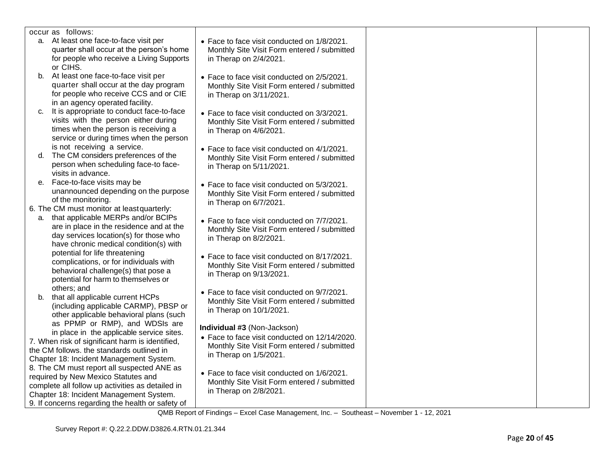| occur as follows:                                |                                               |  |
|--------------------------------------------------|-----------------------------------------------|--|
| a. At least one face-to-face visit per           | • Face to face visit conducted on 1/8/2021.   |  |
| quarter shall occur at the person's home         | Monthly Site Visit Form entered / submitted   |  |
| for people who receive a Living Supports         | in Therap on 2/4/2021.                        |  |
| or CIHS.                                         |                                               |  |
| b. At least one face-to-face visit per           | • Face to face visit conducted on 2/5/2021.   |  |
| quarter shall occur at the day program           | Monthly Site Visit Form entered / submitted   |  |
| for people who receive CCS and or CIE            | in Therap on 3/11/2021.                       |  |
| in an agency operated facility.                  |                                               |  |
| It is appropriate to conduct face-to-face<br>C.  | • Face to face visit conducted on 3/3/2021.   |  |
| visits with the person either during             | Monthly Site Visit Form entered / submitted   |  |
| times when the person is receiving a             | in Therap on 4/6/2021.                        |  |
| service or during times when the person          |                                               |  |
| is not receiving a service.                      | • Face to face visit conducted on 4/1/2021.   |  |
| The CM considers preferences of the<br>d.        | Monthly Site Visit Form entered / submitted   |  |
| person when scheduling face-to face-             | in Therap on 5/11/2021.                       |  |
| visits in advance.                               |                                               |  |
| Face-to-face visits may be<br>е.                 | • Face to face visit conducted on 5/3/2021.   |  |
| unannounced depending on the purpose             | Monthly Site Visit Form entered / submitted   |  |
| of the monitoring.                               | in Therap on 6/7/2021.                        |  |
| 6. The CM must monitor at least quarterly:       |                                               |  |
| that applicable MERPs and/or BCIPs<br>а.         | • Face to face visit conducted on 7/7/2021.   |  |
| are in place in the residence and at the         | Monthly Site Visit Form entered / submitted   |  |
| day services location(s) for those who           | in Therap on 8/2/2021.                        |  |
| have chronic medical condition(s) with           |                                               |  |
| potential for life threatening                   | • Face to face visit conducted on 8/17/2021.  |  |
| complications, or for individuals with           | Monthly Site Visit Form entered / submitted   |  |
| behavioral challenge(s) that pose a              | in Therap on 9/13/2021.                       |  |
| potential for harm to themselves or              |                                               |  |
| others; and                                      | • Face to face visit conducted on 9/7/2021.   |  |
| b. that all applicable current HCPs              | Monthly Site Visit Form entered / submitted   |  |
| (including applicable CARMP), PBSP or            | in Therap on 10/1/2021.                       |  |
| other applicable behavioral plans (such          |                                               |  |
| as PPMP or RMP), and WDSIs are                   | Individual #3 (Non-Jackson)                   |  |
| in place in the applicable service sites.        | • Face to face visit conducted on 12/14/2020. |  |
| 7. When risk of significant harm is identified,  |                                               |  |
| the CM follows. the standards outlined in        | Monthly Site Visit Form entered / submitted   |  |
| Chapter 18: Incident Management System.          | in Therap on 1/5/2021.                        |  |
| 8. The CM must report all suspected ANE as       |                                               |  |
| required by New Mexico Statutes and              | • Face to face visit conducted on 1/6/2021.   |  |
| complete all follow up activities as detailed in | Monthly Site Visit Form entered / submitted   |  |
| Chapter 18: Incident Management System.          | in Therap on 2/8/2021.                        |  |
| 9. If concerns regarding the health or safety of |                                               |  |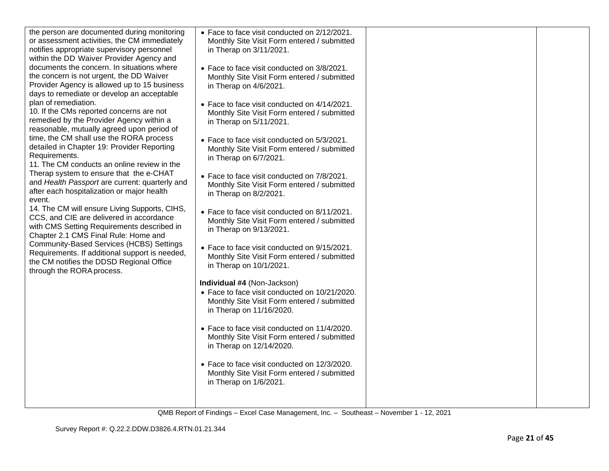| the person are documented during monitoring<br>or assessment activities, the CM immediately<br>notifies appropriate supervisory personnel<br>within the DD Waiver Provider Agency and<br>documents the concern. In situations where<br>the concern is not urgent, the DD Waiver<br>Provider Agency is allowed up to 15 business<br>days to remediate or develop an acceptable<br>plan of remediation.<br>10. If the CMs reported concerns are not<br>remedied by the Provider Agency within a<br>reasonable, mutually agreed upon period of<br>time, the CM shall use the RORA process<br>detailed in Chapter 19: Provider Reporting<br>Requirements.<br>11. The CM conducts an online review in the<br>Therap system to ensure that the e-CHAT<br>and Health Passport are current: quarterly and<br>after each hospitalization or major health<br>event.<br>14. The CM will ensure Living Supports, CIHS,<br>CCS, and CIE are delivered in accordance<br>with CMS Setting Requirements described in<br>Chapter 2.1 CMS Final Rule: Home and<br>Community-Based Services (HCBS) Settings<br>Requirements. If additional support is needed,<br>the CM notifies the DDSD Regional Office<br>through the RORA process. | • Face to face visit conducted on 2/12/2021.<br>Monthly Site Visit Form entered / submitted<br>in Therap on 3/11/2021.<br>• Face to face visit conducted on 3/8/2021.<br>Monthly Site Visit Form entered / submitted<br>in Therap on 4/6/2021.<br>• Face to face visit conducted on 4/14/2021.<br>Monthly Site Visit Form entered / submitted<br>in Therap on 5/11/2021.<br>• Face to face visit conducted on 5/3/2021.<br>Monthly Site Visit Form entered / submitted<br>in Therap on 6/7/2021.<br>• Face to face visit conducted on 7/8/2021.<br>Monthly Site Visit Form entered / submitted<br>in Therap on 8/2/2021.<br>• Face to face visit conducted on 8/11/2021.<br>Monthly Site Visit Form entered / submitted<br>in Therap on 9/13/2021.<br>• Face to face visit conducted on 9/15/2021.<br>Monthly Site Visit Form entered / submitted<br>in Therap on 10/1/2021.<br>Individual #4 (Non-Jackson)<br>• Face to face visit conducted on 10/21/2020.<br>Monthly Site Visit Form entered / submitted<br>in Therap on 11/16/2020.<br>• Face to face visit conducted on 11/4/2020.<br>Monthly Site Visit Form entered / submitted<br>in Therap on 12/14/2020.<br>• Face to face visit conducted on 12/3/2020.<br>Monthly Site Visit Form entered / submitted<br>in Therap on 1/6/2021. |  |
|---------------------------------------------------------------------------------------------------------------------------------------------------------------------------------------------------------------------------------------------------------------------------------------------------------------------------------------------------------------------------------------------------------------------------------------------------------------------------------------------------------------------------------------------------------------------------------------------------------------------------------------------------------------------------------------------------------------------------------------------------------------------------------------------------------------------------------------------------------------------------------------------------------------------------------------------------------------------------------------------------------------------------------------------------------------------------------------------------------------------------------------------------------------------------------------------------------------------|---------------------------------------------------------------------------------------------------------------------------------------------------------------------------------------------------------------------------------------------------------------------------------------------------------------------------------------------------------------------------------------------------------------------------------------------------------------------------------------------------------------------------------------------------------------------------------------------------------------------------------------------------------------------------------------------------------------------------------------------------------------------------------------------------------------------------------------------------------------------------------------------------------------------------------------------------------------------------------------------------------------------------------------------------------------------------------------------------------------------------------------------------------------------------------------------------------------------------------------------------------------------------------------------|--|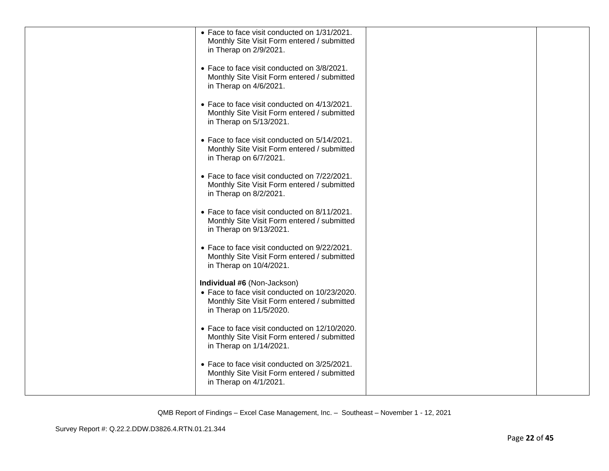| • Face to face visit conducted on 1/31/2021.<br>Monthly Site Visit Form entered / submitted<br>in Therap on 2/9/2021.                                  |  |
|--------------------------------------------------------------------------------------------------------------------------------------------------------|--|
| • Face to face visit conducted on 3/8/2021.<br>Monthly Site Visit Form entered / submitted<br>in Therap on 4/6/2021.                                   |  |
| • Face to face visit conducted on 4/13/2021.<br>Monthly Site Visit Form entered / submitted<br>in Therap on 5/13/2021.                                 |  |
| • Face to face visit conducted on 5/14/2021.<br>Monthly Site Visit Form entered / submitted<br>in Therap on 6/7/2021.                                  |  |
| • Face to face visit conducted on 7/22/2021.<br>Monthly Site Visit Form entered / submitted<br>in Therap on 8/2/2021.                                  |  |
| • Face to face visit conducted on 8/11/2021.<br>Monthly Site Visit Form entered / submitted<br>in Therap on 9/13/2021.                                 |  |
| • Face to face visit conducted on 9/22/2021.<br>Monthly Site Visit Form entered / submitted<br>in Therap on 10/4/2021.                                 |  |
| Individual #6 (Non-Jackson)<br>• Face to face visit conducted on 10/23/2020.<br>Monthly Site Visit Form entered / submitted<br>in Therap on 11/5/2020. |  |
| • Face to face visit conducted on 12/10/2020.<br>Monthly Site Visit Form entered / submitted<br>in Therap on 1/14/2021.                                |  |
| • Face to face visit conducted on 3/25/2021.<br>Monthly Site Visit Form entered / submitted<br>in Therap on 4/1/2021.                                  |  |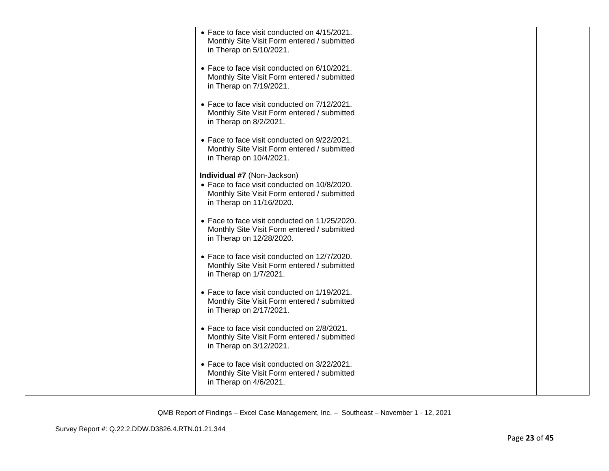| • Face to face visit conducted on 4/15/2021.<br>Monthly Site Visit Form entered / submitted<br>in Therap on 5/10/2021.                                 |  |
|--------------------------------------------------------------------------------------------------------------------------------------------------------|--|
| • Face to face visit conducted on 6/10/2021.<br>Monthly Site Visit Form entered / submitted<br>in Therap on 7/19/2021.                                 |  |
| • Face to face visit conducted on 7/12/2021.<br>Monthly Site Visit Form entered / submitted<br>in Therap on 8/2/2021.                                  |  |
| • Face to face visit conducted on 9/22/2021.<br>Monthly Site Visit Form entered / submitted<br>in Therap on 10/4/2021.                                 |  |
| Individual #7 (Non-Jackson)<br>• Face to face visit conducted on 10/8/2020.<br>Monthly Site Visit Form entered / submitted<br>in Therap on 11/16/2020. |  |
| • Face to face visit conducted on 11/25/2020.<br>Monthly Site Visit Form entered / submitted<br>in Therap on 12/28/2020.                               |  |
| • Face to face visit conducted on 12/7/2020.<br>Monthly Site Visit Form entered / submitted<br>in Therap on 1/7/2021.                                  |  |
| • Face to face visit conducted on 1/19/2021.<br>Monthly Site Visit Form entered / submitted<br>in Therap on 2/17/2021.                                 |  |
| • Face to face visit conducted on 2/8/2021.<br>Monthly Site Visit Form entered / submitted<br>in Therap on 3/12/2021.                                  |  |
| • Face to face visit conducted on 3/22/2021.<br>Monthly Site Visit Form entered / submitted<br>in Therap on 4/6/2021.                                  |  |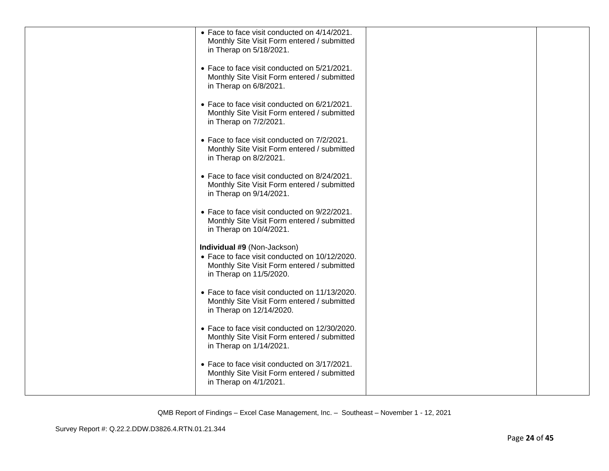| • Face to face visit conducted on 4/14/2021.<br>Monthly Site Visit Form entered / submitted                              |  |
|--------------------------------------------------------------------------------------------------------------------------|--|
| in Therap on 5/18/2021.                                                                                                  |  |
| • Face to face visit conducted on 5/21/2021.<br>Monthly Site Visit Form entered / submitted<br>in Therap on 6/8/2021.    |  |
| • Face to face visit conducted on 6/21/2021.<br>Monthly Site Visit Form entered / submitted<br>in Therap on 7/2/2021.    |  |
| • Face to face visit conducted on 7/2/2021.<br>Monthly Site Visit Form entered / submitted<br>in Therap on 8/2/2021.     |  |
| • Face to face visit conducted on 8/24/2021.<br>Monthly Site Visit Form entered / submitted<br>in Therap on 9/14/2021.   |  |
| • Face to face visit conducted on 9/22/2021.<br>Monthly Site Visit Form entered / submitted<br>in Therap on 10/4/2021.   |  |
| Individual #9 (Non-Jackson)<br>• Face to face visit conducted on 10/12/2020.                                             |  |
| Monthly Site Visit Form entered / submitted<br>in Therap on 11/5/2020.                                                   |  |
| • Face to face visit conducted on 11/13/2020.<br>Monthly Site Visit Form entered / submitted<br>in Therap on 12/14/2020. |  |
| • Face to face visit conducted on 12/30/2020.<br>Monthly Site Visit Form entered / submitted<br>in Therap on 1/14/2021.  |  |
| • Face to face visit conducted on 3/17/2021.<br>Monthly Site Visit Form entered / submitted<br>in Therap on 4/1/2021.    |  |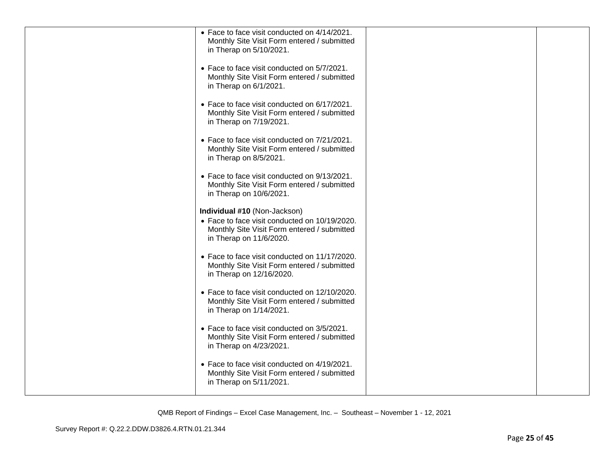| • Face to face visit conducted on 4/14/2021.<br>Monthly Site Visit Form entered / submitted<br>in Therap on 5/10/2021.                                  |  |
|---------------------------------------------------------------------------------------------------------------------------------------------------------|--|
| • Face to face visit conducted on 5/7/2021.<br>Monthly Site Visit Form entered / submitted<br>in Therap on 6/1/2021.                                    |  |
| • Face to face visit conducted on 6/17/2021.<br>Monthly Site Visit Form entered / submitted<br>in Therap on 7/19/2021.                                  |  |
| • Face to face visit conducted on 7/21/2021.<br>Monthly Site Visit Form entered / submitted<br>in Therap on 8/5/2021.                                   |  |
| • Face to face visit conducted on 9/13/2021.<br>Monthly Site Visit Form entered / submitted<br>in Therap on 10/6/2021.                                  |  |
| Individual #10 (Non-Jackson)<br>• Face to face visit conducted on 10/19/2020.<br>Monthly Site Visit Form entered / submitted<br>in Therap on 11/6/2020. |  |
| • Face to face visit conducted on 11/17/2020.<br>Monthly Site Visit Form entered / submitted<br>in Therap on 12/16/2020.                                |  |
| • Face to face visit conducted on 12/10/2020.<br>Monthly Site Visit Form entered / submitted<br>in Therap on 1/14/2021.                                 |  |
| • Face to face visit conducted on 3/5/2021.<br>Monthly Site Visit Form entered / submitted<br>in Therap on 4/23/2021.                                   |  |
| • Face to face visit conducted on 4/19/2021.<br>Monthly Site Visit Form entered / submitted<br>in Therap on 5/11/2021.                                  |  |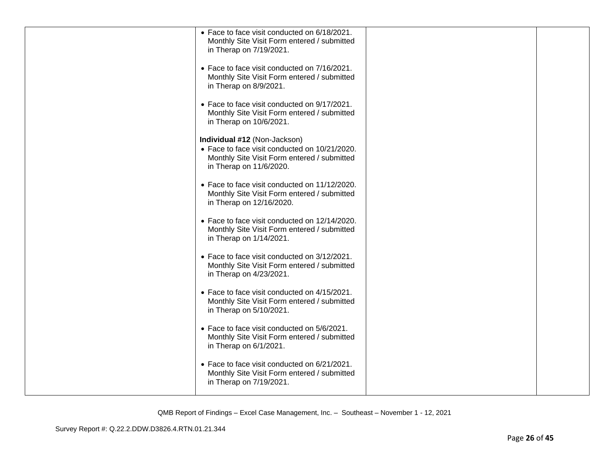| • Face to face visit conducted on 6/18/2021.<br>Monthly Site Visit Form entered / submitted<br>in Therap on 7/19/2021.                                  |  |
|---------------------------------------------------------------------------------------------------------------------------------------------------------|--|
| • Face to face visit conducted on 7/16/2021.<br>Monthly Site Visit Form entered / submitted<br>in Therap on 8/9/2021.                                   |  |
| • Face to face visit conducted on 9/17/2021.<br>Monthly Site Visit Form entered / submitted<br>in Therap on 10/6/2021.                                  |  |
| Individual #12 (Non-Jackson)<br>• Face to face visit conducted on 10/21/2020.<br>Monthly Site Visit Form entered / submitted<br>in Therap on 11/6/2020. |  |
| • Face to face visit conducted on 11/12/2020.<br>Monthly Site Visit Form entered / submitted<br>in Therap on 12/16/2020.                                |  |
| • Face to face visit conducted on 12/14/2020.<br>Monthly Site Visit Form entered / submitted<br>in Therap on 1/14/2021.                                 |  |
| • Face to face visit conducted on 3/12/2021.<br>Monthly Site Visit Form entered / submitted<br>in Therap on 4/23/2021.                                  |  |
| • Face to face visit conducted on 4/15/2021.<br>Monthly Site Visit Form entered / submitted<br>in Therap on 5/10/2021.                                  |  |
| • Face to face visit conducted on 5/6/2021.<br>Monthly Site Visit Form entered / submitted<br>in Therap on 6/1/2021.                                    |  |
| • Face to face visit conducted on 6/21/2021.<br>Monthly Site Visit Form entered / submitted<br>in Therap on 7/19/2021.                                  |  |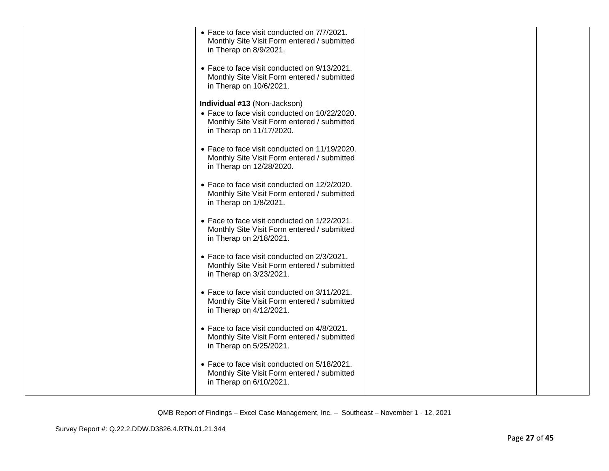| • Face to face visit conducted on 7/7/2021.<br>Monthly Site Visit Form entered / submitted<br>in Therap on 8/9/2021.                                     |  |
|----------------------------------------------------------------------------------------------------------------------------------------------------------|--|
| • Face to face visit conducted on 9/13/2021.<br>Monthly Site Visit Form entered / submitted<br>in Therap on 10/6/2021.                                   |  |
| Individual #13 (Non-Jackson)<br>• Face to face visit conducted on 10/22/2020.<br>Monthly Site Visit Form entered / submitted<br>in Therap on 11/17/2020. |  |
| • Face to face visit conducted on 11/19/2020.<br>Monthly Site Visit Form entered / submitted<br>in Therap on 12/28/2020.                                 |  |
| • Face to face visit conducted on 12/2/2020.<br>Monthly Site Visit Form entered / submitted<br>in Therap on 1/8/2021.                                    |  |
| • Face to face visit conducted on 1/22/2021.<br>Monthly Site Visit Form entered / submitted<br>in Therap on 2/18/2021.                                   |  |
| • Face to face visit conducted on 2/3/2021.<br>Monthly Site Visit Form entered / submitted<br>in Therap on 3/23/2021.                                    |  |
| • Face to face visit conducted on 3/11/2021.<br>Monthly Site Visit Form entered / submitted<br>in Therap on 4/12/2021.                                   |  |
| • Face to face visit conducted on 4/8/2021.<br>Monthly Site Visit Form entered / submitted<br>in Therap on 5/25/2021.                                    |  |
| • Face to face visit conducted on 5/18/2021.<br>Monthly Site Visit Form entered / submitted<br>in Therap on 6/10/2021.                                   |  |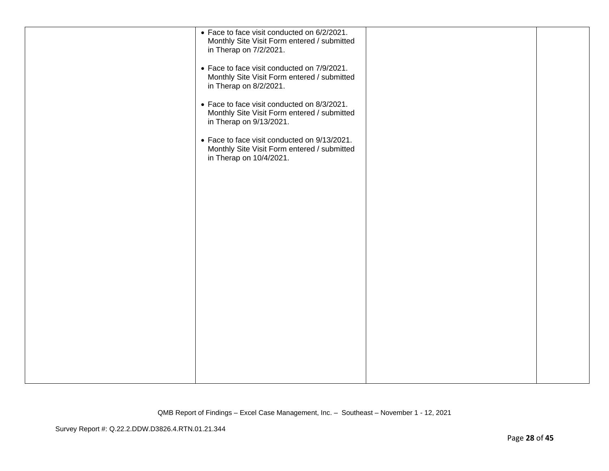| • Face to face visit conducted on 6/2/2021.<br>Monthly Site Visit Form entered / submitted<br>in Therap on 7/2/2021.   |  |
|------------------------------------------------------------------------------------------------------------------------|--|
| • Face to face visit conducted on 7/9/2021.<br>Monthly Site Visit Form entered / submitted<br>in Therap on 8/2/2021.   |  |
| • Face to face visit conducted on 8/3/2021.<br>Monthly Site Visit Form entered / submitted<br>in Therap on 9/13/2021.  |  |
| • Face to face visit conducted on 9/13/2021.<br>Monthly Site Visit Form entered / submitted<br>in Therap on 10/4/2021. |  |
|                                                                                                                        |  |
|                                                                                                                        |  |
|                                                                                                                        |  |
|                                                                                                                        |  |
|                                                                                                                        |  |
|                                                                                                                        |  |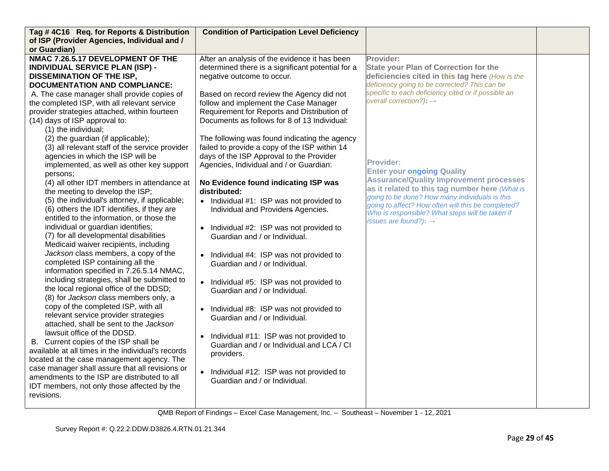| Tag #4C16 Req. for Reports & Distribution                                                       | <b>Condition of Participation Level Deficiency</b>   |                                                                                                      |  |
|-------------------------------------------------------------------------------------------------|------------------------------------------------------|------------------------------------------------------------------------------------------------------|--|
| of ISP (Provider Agencies, Individual and /<br>or Guardian)                                     |                                                      |                                                                                                      |  |
| NMAC 7.26.5.17 DEVELOPMENT OF THE                                                               |                                                      | Provider:                                                                                            |  |
|                                                                                                 | After an analysis of the evidence it has been        |                                                                                                      |  |
| <b>INDIVIDUAL SERVICE PLAN (ISP) -</b>                                                          | determined there is a significant potential for a    | <b>State your Plan of Correction for the</b>                                                         |  |
| <b>DISSEMINATION OF THE ISP,</b>                                                                | negative outcome to occur.                           | deficiencies cited in this tag here (How is the                                                      |  |
| <b>DOCUMENTATION AND COMPLIANCE:</b>                                                            |                                                      | deficiency going to be corrected? This can be<br>specific to each deficiency cited or if possible an |  |
| A. The case manager shall provide copies of                                                     | Based on record review the Agency did not            | overall correction?): $\rightarrow$                                                                  |  |
| the completed ISP, with all relevant service                                                    | follow and implement the Case Manager                |                                                                                                      |  |
| provider strategies attached, within fourteen                                                   | Requirement for Reports and Distribution of          |                                                                                                      |  |
| (14) days of ISP approval to:                                                                   | Documents as follows for 8 of 13 Individual:         |                                                                                                      |  |
| (1) the individual;                                                                             |                                                      |                                                                                                      |  |
| (2) the guardian (if applicable);                                                               | The following was found indicating the agency        |                                                                                                      |  |
| (3) all relevant staff of the service provider                                                  | failed to provide a copy of the ISP within 14        |                                                                                                      |  |
| agencies in which the ISP will be                                                               | days of the ISP Approval to the Provider             | <b>Provider:</b>                                                                                     |  |
| implemented, as well as other key support                                                       | Agencies, Individual and / or Guardian:              | <b>Enter your ongoing Quality</b>                                                                    |  |
| persons:                                                                                        |                                                      | <b>Assurance/Quality Improvement processes</b>                                                       |  |
| (4) all other IDT members in attendance at                                                      | No Evidence found indicating ISP was                 | as it related to this tag number here (What is                                                       |  |
| the meeting to develop the ISP;                                                                 | distributed:                                         | going to be done? How many individuals is this                                                       |  |
| (5) the individual's attorney, if applicable;                                                   | • Individual #1: ISP was not provided to             | going to affect? How often will this be completed?                                                   |  |
| (6) others the IDT identifies, if they are                                                      | Individual and Providers Agencies.                   | Who is responsible? What steps will be taken if                                                      |  |
| entitled to the information, or those the                                                       |                                                      | issues are found?): $\rightarrow$                                                                    |  |
| individual or guardian identifies;                                                              | Individual #2: ISP was not provided to<br>$\bullet$  |                                                                                                      |  |
| (7) for all developmental disabilities                                                          | Guardian and / or Individual.                        |                                                                                                      |  |
| Medicaid waiver recipients, including                                                           |                                                      |                                                                                                      |  |
| Jackson class members, a copy of the                                                            | Individual #4: ISP was not provided to<br>$\bullet$  |                                                                                                      |  |
| completed ISP containing all the                                                                | Guardian and / or Individual.                        |                                                                                                      |  |
| information specified in 7.26.5.14 NMAC,                                                        |                                                      |                                                                                                      |  |
| including strategies, shall be submitted to                                                     | Individual #5: ISP was not provided to<br>$\bullet$  |                                                                                                      |  |
| the local regional office of the DDSD;                                                          | Guardian and / or Individual.                        |                                                                                                      |  |
| (8) for Jackson class members only, a                                                           |                                                      |                                                                                                      |  |
| copy of the completed ISP, with all                                                             | Individual #8: ISP was not provided to<br>$\bullet$  |                                                                                                      |  |
| relevant service provider strategies                                                            | Guardian and / or Individual.                        |                                                                                                      |  |
| attached, shall be sent to the Jackson                                                          |                                                      |                                                                                                      |  |
| lawsuit office of the DDSD.                                                                     | Individual #11: ISP was not provided to<br>$\bullet$ |                                                                                                      |  |
| B. Current copies of the ISP shall be                                                           | Guardian and / or Individual and LCA / CI            |                                                                                                      |  |
| available at all times in the individual's records                                              | providers.                                           |                                                                                                      |  |
| located at the case management agency. The                                                      |                                                      |                                                                                                      |  |
| case manager shall assure that all revisions or<br>amendments to the ISP are distributed to all | Individual #12: ISP was not provided to              |                                                                                                      |  |
|                                                                                                 | Guardian and / or Individual.                        |                                                                                                      |  |
| IDT members, not only those affected by the<br>revisions.                                       |                                                      |                                                                                                      |  |
|                                                                                                 |                                                      |                                                                                                      |  |
|                                                                                                 |                                                      |                                                                                                      |  |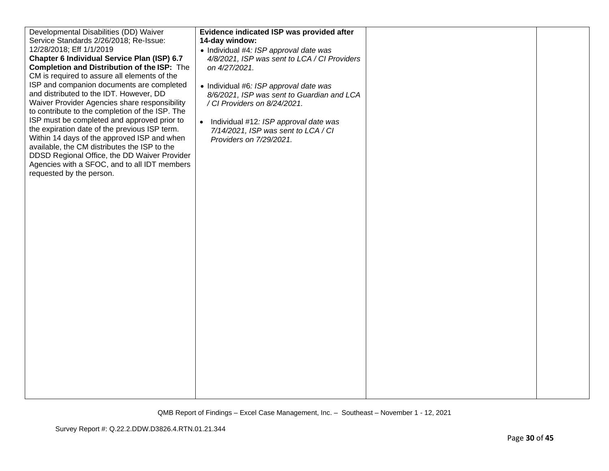| Developmental Disabilities (DD) Waiver<br>Service Standards 2/26/2018; Re-Issue:<br>12/28/2018; Eff 1/1/2019<br>Chapter 6 Individual Service Plan (ISP) 6.7<br>Completion and Distribution of the ISP: The<br>CM is required to assure all elements of the<br>ISP and companion documents are completed<br>and distributed to the IDT. However, DD<br>Waiver Provider Agencies share responsibility<br>to contribute to the completion of the ISP. The<br>ISP must be completed and approved prior to<br>the expiration date of the previous ISP term.<br>Within 14 days of the approved ISP and when<br>available, the CM distributes the ISP to the<br>DDSD Regional Office, the DD Waiver Provider<br>Agencies with a SFOC, and to all IDT members<br>requested by the person. | Evidence indicated ISP was provided after<br>14-day window:<br>• Individual #4: ISP approval date was<br>4/8/2021, ISP was sent to LCA / CI Providers<br>on 4/27/2021.<br>• Individual #6: ISP approval date was<br>8/6/2021, ISP was sent to Guardian and LCA<br>/ CI Providers on 8/24/2021.<br>$\bullet$<br>Individual #12: ISP approval date was<br>7/14/2021, ISP was sent to LCA / CI<br>Providers on 7/29/2021. |  |
|-----------------------------------------------------------------------------------------------------------------------------------------------------------------------------------------------------------------------------------------------------------------------------------------------------------------------------------------------------------------------------------------------------------------------------------------------------------------------------------------------------------------------------------------------------------------------------------------------------------------------------------------------------------------------------------------------------------------------------------------------------------------------------------|------------------------------------------------------------------------------------------------------------------------------------------------------------------------------------------------------------------------------------------------------------------------------------------------------------------------------------------------------------------------------------------------------------------------|--|
|                                                                                                                                                                                                                                                                                                                                                                                                                                                                                                                                                                                                                                                                                                                                                                                   |                                                                                                                                                                                                                                                                                                                                                                                                                        |  |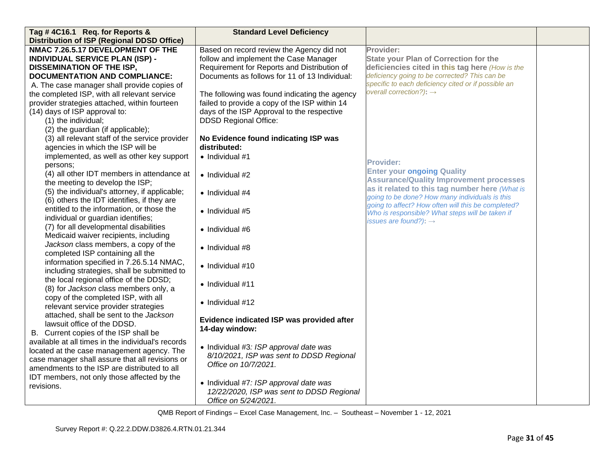| Tag #4C16.1 Req. for Reports &                                        | <b>Standard Level Deficiency</b>              |                                                                                                  |  |
|-----------------------------------------------------------------------|-----------------------------------------------|--------------------------------------------------------------------------------------------------|--|
| <b>Distribution of ISP (Regional DDSD Office)</b>                     |                                               |                                                                                                  |  |
| NMAC 7.26.5.17 DEVELOPMENT OF THE                                     | Based on record review the Agency did not     | Provider:                                                                                        |  |
| <b>INDIVIDUAL SERVICE PLAN (ISP) -</b>                                | follow and implement the Case Manager         | <b>State your Plan of Correction for the</b>                                                     |  |
| <b>DISSEMINATION OF THE ISP,</b>                                      | Requirement for Reports and Distribution of   | deficiencies cited in this tag here (How is the                                                  |  |
| <b>DOCUMENTATION AND COMPLIANCE:</b>                                  | Documents as follows for 11 of 13 Individual: | deficiency going to be corrected? This can be                                                    |  |
| A. The case manager shall provide copies of                           |                                               | specific to each deficiency cited or if possible an                                              |  |
| the completed ISP, with all relevant service                          | The following was found indicating the agency | overall correction?): $\rightarrow$                                                              |  |
| provider strategies attached, within fourteen                         | failed to provide a copy of the ISP within 14 |                                                                                                  |  |
| (14) days of ISP approval to:                                         | days of the ISP Approval to the respective    |                                                                                                  |  |
| (1) the individual;                                                   | <b>DDSD Regional Office:</b>                  |                                                                                                  |  |
| (2) the guardian (if applicable);                                     |                                               |                                                                                                  |  |
| (3) all relevant staff of the service provider                        | No Evidence found indicating ISP was          |                                                                                                  |  |
| agencies in which the ISP will be                                     | distributed:                                  |                                                                                                  |  |
| implemented, as well as other key support                             | $\bullet$ Individual #1                       |                                                                                                  |  |
| persons:                                                              |                                               | <b>Provider:</b>                                                                                 |  |
| (4) all other IDT members in attendance at                            | • Individual #2                               | <b>Enter your ongoing Quality</b>                                                                |  |
| the meeting to develop the ISP;                                       |                                               | <b>Assurance/Quality Improvement processes</b>                                                   |  |
| (5) the individual's attorney, if applicable;                         | $\bullet$ Individual #4                       | as it related to this tag number here (What is<br>going to be done? How many individuals is this |  |
| (6) others the IDT identifies, if they are                            |                                               | going to affect? How often will this be completed?                                               |  |
| entitled to the information, or those the                             | • Individual #5                               | Who is responsible? What steps will be taken if                                                  |  |
| individual or guardian identifies;                                    |                                               | issues are found?): $\rightarrow$                                                                |  |
| (7) for all developmental disabilities                                | $\bullet$ Individual #6                       |                                                                                                  |  |
| Medicaid waiver recipients, including                                 |                                               |                                                                                                  |  |
| Jackson class members, a copy of the                                  | • Individual #8                               |                                                                                                  |  |
| completed ISP containing all the                                      |                                               |                                                                                                  |  |
| information specified in 7.26.5.14 NMAC,                              | $\bullet$ Individual #10                      |                                                                                                  |  |
| including strategies, shall be submitted to                           |                                               |                                                                                                  |  |
| the local regional office of the DDSD;                                | $\bullet$ Individual #11                      |                                                                                                  |  |
| (8) for Jackson class members only, a                                 |                                               |                                                                                                  |  |
| copy of the completed ISP, with all                                   | • Individual #12                              |                                                                                                  |  |
| relevant service provider strategies                                  |                                               |                                                                                                  |  |
| attached, shall be sent to the Jackson<br>lawsuit office of the DDSD. | Evidence indicated ISP was provided after     |                                                                                                  |  |
| B. Current copies of the ISP shall be                                 | 14-day window:                                |                                                                                                  |  |
| available at all times in the individual's records                    |                                               |                                                                                                  |  |
| located at the case management agency. The                            | • Individual #3: ISP approval date was        |                                                                                                  |  |
| case manager shall assure that all revisions or                       | 8/10/2021, ISP was sent to DDSD Regional      |                                                                                                  |  |
| amendments to the ISP are distributed to all                          | Office on 10/7/2021.                          |                                                                                                  |  |
| IDT members, not only those affected by the                           |                                               |                                                                                                  |  |
| revisions.                                                            | • Individual #7: ISP approval date was        |                                                                                                  |  |
|                                                                       | 12/22/2020, ISP was sent to DDSD Regional     |                                                                                                  |  |
|                                                                       | Office on 5/24/2021.                          |                                                                                                  |  |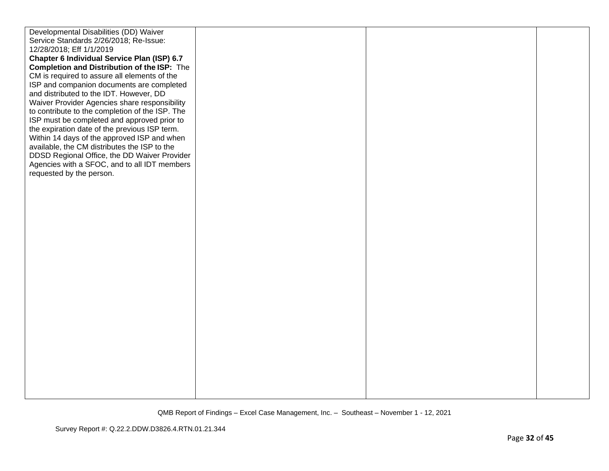| Developmental Disabilities (DD) Waiver          |  |  |
|-------------------------------------------------|--|--|
| Service Standards 2/26/2018; Re-Issue:          |  |  |
| 12/28/2018; Eff 1/1/2019                        |  |  |
| Chapter 6 Individual Service Plan (ISP) 6.7     |  |  |
| Completion and Distribution of the ISP: The     |  |  |
| CM is required to assure all elements of the    |  |  |
| ISP and companion documents are completed       |  |  |
| and distributed to the IDT. However, DD         |  |  |
| Waiver Provider Agencies share responsibility   |  |  |
| to contribute to the completion of the ISP. The |  |  |
| ISP must be completed and approved prior to     |  |  |
| the expiration date of the previous ISP term.   |  |  |
| Within 14 days of the approved ISP and when     |  |  |
| available, the CM distributes the ISP to the    |  |  |
| DDSD Regional Office, the DD Waiver Provider    |  |  |
| Agencies with a SFOC, and to all IDT members    |  |  |
| requested by the person.                        |  |  |
|                                                 |  |  |
|                                                 |  |  |
|                                                 |  |  |
|                                                 |  |  |
|                                                 |  |  |
|                                                 |  |  |
|                                                 |  |  |
|                                                 |  |  |
|                                                 |  |  |
|                                                 |  |  |
|                                                 |  |  |
|                                                 |  |  |
|                                                 |  |  |
|                                                 |  |  |
|                                                 |  |  |
|                                                 |  |  |
|                                                 |  |  |
|                                                 |  |  |
|                                                 |  |  |
|                                                 |  |  |
|                                                 |  |  |
|                                                 |  |  |
|                                                 |  |  |
|                                                 |  |  |
|                                                 |  |  |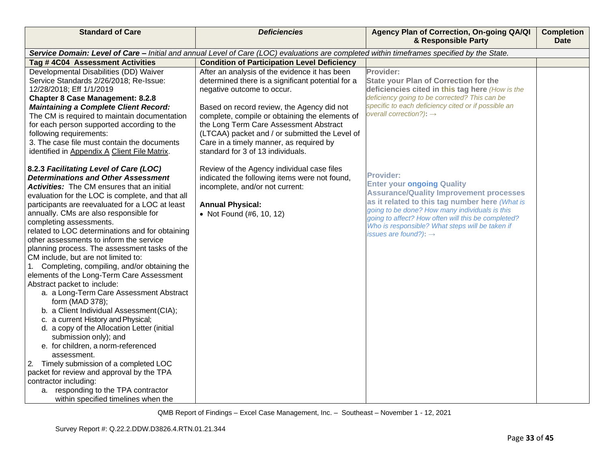| <b>Standard of Care</b>                                                                                                                                                                                                                                                                                                                                                                                                                                                                                                                                                                                                                                                                                                                                                                                                                                                                                                                                                                          | <b>Deficiencies</b>                                                                                                                                                                                                                                                                                                                                                                                                                                                                                                                                                                                   | Agency Plan of Correction, On-going QA/QI<br>& Responsible Party                                                                                                                                                                                                                                                                                                                                                                                                                                                                                                                                                         | <b>Completion</b><br><b>Date</b> |
|--------------------------------------------------------------------------------------------------------------------------------------------------------------------------------------------------------------------------------------------------------------------------------------------------------------------------------------------------------------------------------------------------------------------------------------------------------------------------------------------------------------------------------------------------------------------------------------------------------------------------------------------------------------------------------------------------------------------------------------------------------------------------------------------------------------------------------------------------------------------------------------------------------------------------------------------------------------------------------------------------|-------------------------------------------------------------------------------------------------------------------------------------------------------------------------------------------------------------------------------------------------------------------------------------------------------------------------------------------------------------------------------------------------------------------------------------------------------------------------------------------------------------------------------------------------------------------------------------------------------|--------------------------------------------------------------------------------------------------------------------------------------------------------------------------------------------------------------------------------------------------------------------------------------------------------------------------------------------------------------------------------------------------------------------------------------------------------------------------------------------------------------------------------------------------------------------------------------------------------------------------|----------------------------------|
|                                                                                                                                                                                                                                                                                                                                                                                                                                                                                                                                                                                                                                                                                                                                                                                                                                                                                                                                                                                                  | Service Domain: Level of Care - Initial and annual Level of Care (LOC) evaluations are completed within timeframes specified by the State.                                                                                                                                                                                                                                                                                                                                                                                                                                                            |                                                                                                                                                                                                                                                                                                                                                                                                                                                                                                                                                                                                                          |                                  |
| Tag # 4C04 Assessment Activities                                                                                                                                                                                                                                                                                                                                                                                                                                                                                                                                                                                                                                                                                                                                                                                                                                                                                                                                                                 | <b>Condition of Participation Level Deficiency</b>                                                                                                                                                                                                                                                                                                                                                                                                                                                                                                                                                    |                                                                                                                                                                                                                                                                                                                                                                                                                                                                                                                                                                                                                          |                                  |
| Developmental Disabilities (DD) Waiver<br>Service Standards 2/26/2018; Re-Issue:<br>12/28/2018; Eff 1/1/2019<br><b>Chapter 8 Case Management: 8.2.8</b><br><b>Maintaining a Complete Client Record:</b><br>The CM is required to maintain documentation<br>for each person supported according to the<br>following requirements:<br>3. The case file must contain the documents<br>identified in Appendix A Client File Matrix.<br>8.2.3 Facilitating Level of Care (LOC)<br><b>Determinations and Other Assessment</b><br><b>Activities:</b> The CM ensures that an initial<br>evaluation for the LOC is complete, and that all<br>participants are reevaluated for a LOC at least<br>annually. CMs are also responsible for<br>completing assessments.<br>related to LOC determinations and for obtaining<br>other assessments to inform the service<br>planning process. The assessment tasks of the<br>CM include, but are not limited to:<br>1. Completing, compiling, and/or obtaining the | After an analysis of the evidence it has been<br>determined there is a significant potential for a<br>negative outcome to occur.<br>Based on record review, the Agency did not<br>complete, compile or obtaining the elements of<br>the Long Term Care Assessment Abstract<br>(LTCAA) packet and / or submitted the Level of<br>Care in a timely manner, as required by<br>standard for 3 of 13 individuals.<br>Review of the Agency individual case files<br>indicated the following items were not found,<br>incomplete, and/or not current:<br><b>Annual Physical:</b><br>• Not Found (#6, 10, 12) | Provider:<br><b>State your Plan of Correction for the</b><br>deficiencies cited in this tag here (How is the<br>deficiency going to be corrected? This can be<br>specific to each deficiency cited or if possible an<br>overall correction?): $\rightarrow$<br><b>Provider:</b><br><b>Enter your ongoing Quality</b><br><b>Assurance/Quality Improvement processes</b><br>as it related to this tag number here (What is<br>going to be done? How many individuals is this<br>going to affect? How often will this be completed?<br>Who is responsible? What steps will be taken if<br>issues are found?): $\rightarrow$ |                                  |
| elements of the Long-Term Care Assessment<br>Abstract packet to include:<br>a. a Long-Term Care Assessment Abstract<br>form (MAD 378);<br>b. a Client Individual Assessment (CIA);<br>c. a current History and Physical;<br>d. a copy of the Allocation Letter (initial<br>submission only); and<br>e. for children, a norm-referenced<br>assessment.<br>Timely submission of a completed LOC<br>2.<br>packet for review and approval by the TPA<br>contractor including:<br>a. responding to the TPA contractor<br>within specified timelines when the                                                                                                                                                                                                                                                                                                                                                                                                                                          |                                                                                                                                                                                                                                                                                                                                                                                                                                                                                                                                                                                                       |                                                                                                                                                                                                                                                                                                                                                                                                                                                                                                                                                                                                                          |                                  |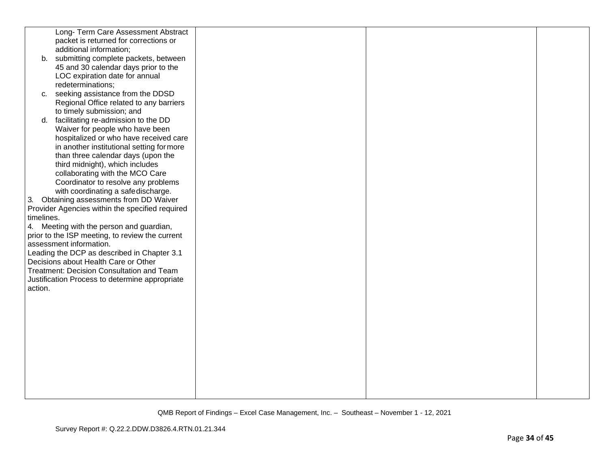|            | Long- Term Care Assessment Abstract             |  |  |
|------------|-------------------------------------------------|--|--|
|            | packet is returned for corrections or           |  |  |
|            | additional information;                         |  |  |
|            | b. submitting complete packets, between         |  |  |
|            | 45 and 30 calendar days prior to the            |  |  |
|            | LOC expiration date for annual                  |  |  |
|            | redeterminations;                               |  |  |
| C.         | seeking assistance from the DDSD                |  |  |
|            | Regional Office related to any barriers         |  |  |
|            | to timely submission; and                       |  |  |
| d.         | facilitating re-admission to the DD             |  |  |
|            | Waiver for people who have been                 |  |  |
|            | hospitalized or who have received care          |  |  |
|            | in another institutional setting for more       |  |  |
|            | than three calendar days (upon the              |  |  |
|            | third midnight), which includes                 |  |  |
|            | collaborating with the MCO Care                 |  |  |
|            | Coordinator to resolve any problems             |  |  |
|            | with coordinating a safedischarge.              |  |  |
| 3.         | Obtaining assessments from DD Waiver            |  |  |
|            | Provider Agencies within the specified required |  |  |
| timelines. |                                                 |  |  |
|            | 4. Meeting with the person and guardian,        |  |  |
|            | prior to the ISP meeting, to review the current |  |  |
|            | assessment information.                         |  |  |
|            | Leading the DCP as described in Chapter 3.1     |  |  |
|            | Decisions about Health Care or Other            |  |  |
|            | Treatment: Decision Consultation and Team       |  |  |
|            |                                                 |  |  |
| action.    | Justification Process to determine appropriate  |  |  |
|            |                                                 |  |  |
|            |                                                 |  |  |
|            |                                                 |  |  |
|            |                                                 |  |  |
|            |                                                 |  |  |
|            |                                                 |  |  |
|            |                                                 |  |  |
|            |                                                 |  |  |
|            |                                                 |  |  |
|            |                                                 |  |  |
|            |                                                 |  |  |
|            |                                                 |  |  |
|            |                                                 |  |  |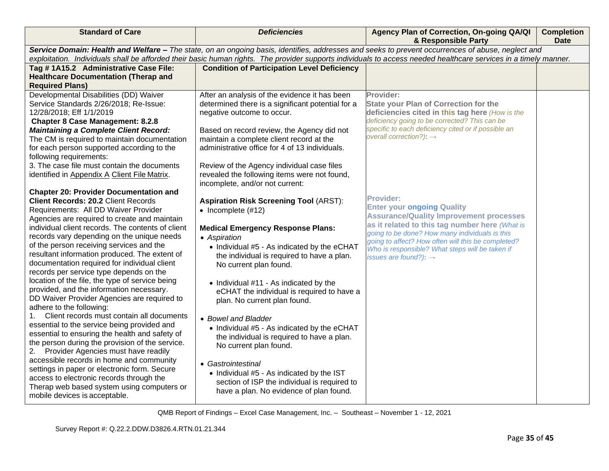| <b>Standard of Care</b>                                                | <b>Deficiencies</b>                                                                        | Agency Plan of Correction, On-going QA/QI<br>& Responsible Party                                                                                                 | <b>Completion</b><br><b>Date</b> |
|------------------------------------------------------------------------|--------------------------------------------------------------------------------------------|------------------------------------------------------------------------------------------------------------------------------------------------------------------|----------------------------------|
|                                                                        |                                                                                            | Service Domain: Health and Welfare - The state, on an ongoing basis, identifies, addresses and seeks to prevent occurrences of abuse, neglect and                |                                  |
|                                                                        |                                                                                            | exploitation. Individuals shall be afforded their basic human rights. The provider supports individuals to access needed healthcare services in a timely manner. |                                  |
| Tag #1A15.2 Administrative Case File:                                  | <b>Condition of Participation Level Deficiency</b>                                         |                                                                                                                                                                  |                                  |
| <b>Healthcare Documentation (Therap and</b>                            |                                                                                            |                                                                                                                                                                  |                                  |
| <b>Required Plans)</b>                                                 |                                                                                            |                                                                                                                                                                  |                                  |
| Developmental Disabilities (DD) Waiver                                 | After an analysis of the evidence it has been                                              | Provider:                                                                                                                                                        |                                  |
| Service Standards 2/26/2018; Re-Issue:                                 | determined there is a significant potential for a                                          | <b>State your Plan of Correction for the</b>                                                                                                                     |                                  |
| 12/28/2018; Eff 1/1/2019                                               | negative outcome to occur.                                                                 | deficiencies cited in this tag here (How is the                                                                                                                  |                                  |
| <b>Chapter 8 Case Management: 8.2.8</b>                                |                                                                                            | deficiency going to be corrected? This can be<br>specific to each deficiency cited or if possible an                                                             |                                  |
| <b>Maintaining a Complete Client Record:</b>                           | Based on record review, the Agency did not                                                 | overall correction?): $\rightarrow$                                                                                                                              |                                  |
| The CM is required to maintain documentation                           | maintain a complete client record at the<br>administrative office for 4 of 13 individuals. |                                                                                                                                                                  |                                  |
| for each person supported according to the                             |                                                                                            |                                                                                                                                                                  |                                  |
| following requirements:<br>3. The case file must contain the documents |                                                                                            |                                                                                                                                                                  |                                  |
|                                                                        | Review of the Agency individual case files<br>revealed the following items were not found, |                                                                                                                                                                  |                                  |
| identified in Appendix A Client File Matrix.                           | incomplete, and/or not current:                                                            |                                                                                                                                                                  |                                  |
| <b>Chapter 20: Provider Documentation and</b>                          |                                                                                            |                                                                                                                                                                  |                                  |
| <b>Client Records: 20.2 Client Records</b>                             | <b>Aspiration Risk Screening Tool (ARST):</b>                                              | <b>Provider:</b>                                                                                                                                                 |                                  |
| Requirements: All DD Waiver Provider                                   | $\bullet$ Incomplete (#12)                                                                 | <b>Enter your ongoing Quality</b>                                                                                                                                |                                  |
| Agencies are required to create and maintain                           |                                                                                            | <b>Assurance/Quality Improvement processes</b>                                                                                                                   |                                  |
| individual client records. The contents of client                      | <b>Medical Emergency Response Plans:</b>                                                   | as it related to this tag number here (What is                                                                                                                   |                                  |
| records vary depending on the unique needs                             | • Aspiration                                                                               | going to be done? How many individuals is this                                                                                                                   |                                  |
| of the person receiving services and the                               | • Individual #5 - As indicated by the eCHAT                                                | going to affect? How often will this be completed?                                                                                                               |                                  |
| resultant information produced. The extent of                          | the individual is required to have a plan.                                                 | Who is responsible? What steps will be taken if<br>issues are found?): $\rightarrow$                                                                             |                                  |
| documentation required for individual client                           | No current plan found.                                                                     |                                                                                                                                                                  |                                  |
| records per service type depends on the                                |                                                                                            |                                                                                                                                                                  |                                  |
| location of the file, the type of service being                        | • Individual #11 - As indicated by the                                                     |                                                                                                                                                                  |                                  |
| provided, and the information necessary.                               | eCHAT the individual is required to have a                                                 |                                                                                                                                                                  |                                  |
| DD Waiver Provider Agencies are required to                            | plan. No current plan found.                                                               |                                                                                                                                                                  |                                  |
| adhere to the following:                                               |                                                                                            |                                                                                                                                                                  |                                  |
| Client records must contain all documents<br>1.                        | • Bowel and Bladder                                                                        |                                                                                                                                                                  |                                  |
| essential to the service being provided and                            | • Individual #5 - As indicated by the eCHAT                                                |                                                                                                                                                                  |                                  |
| essential to ensuring the health and safety of                         | the individual is required to have a plan.                                                 |                                                                                                                                                                  |                                  |
| the person during the provision of the service.                        | No current plan found.                                                                     |                                                                                                                                                                  |                                  |
| Provider Agencies must have readily<br>2.                              |                                                                                            |                                                                                                                                                                  |                                  |
| accessible records in home and community                               | • Gastrointestinal                                                                         |                                                                                                                                                                  |                                  |
| settings in paper or electronic form. Secure                           | • Individual #5 - As indicated by the IST                                                  |                                                                                                                                                                  |                                  |
| access to electronic records through the                               | section of ISP the individual is required to                                               |                                                                                                                                                                  |                                  |
| Therap web based system using computers or                             | have a plan. No evidence of plan found.                                                    |                                                                                                                                                                  |                                  |
| mobile devices is acceptable.                                          |                                                                                            |                                                                                                                                                                  |                                  |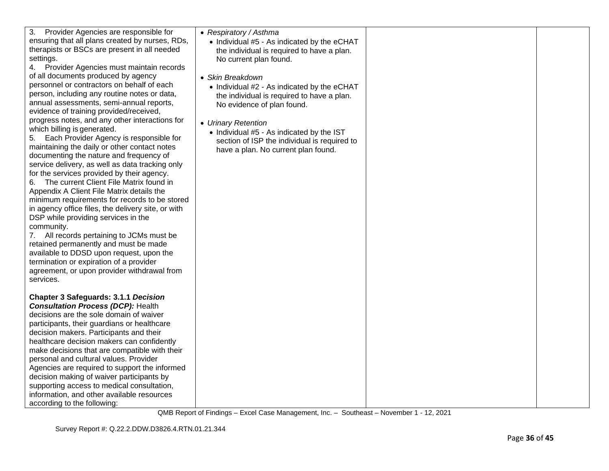| 3.<br>Provider Agencies are responsible for<br>ensuring that all plans created by nurses, RDs,<br>therapists or BSCs are present in all needed<br>settings.<br>4. Provider Agencies must maintain records<br>of all documents produced by agency<br>personnel or contractors on behalf of each<br>person, including any routine notes or data,<br>annual assessments, semi-annual reports,<br>evidence of training provided/received,<br>progress notes, and any other interactions for<br>which billing is generated.<br>Each Provider Agency is responsible for<br>5.<br>maintaining the daily or other contact notes<br>documenting the nature and frequency of<br>service delivery, as well as data tracking only<br>for the services provided by their agency.<br>The current Client File Matrix found in<br>6.<br>Appendix A Client File Matrix details the<br>minimum requirements for records to be stored<br>in agency office files, the delivery site, or with<br>DSP while providing services in the<br>community.<br>7. All records pertaining to JCMs must be<br>retained permanently and must be made<br>available to DDSD upon request, upon the<br>termination or expiration of a provider<br>agreement, or upon provider withdrawal from<br>services. | • Respiratory / Asthma<br>• Individual #5 - As indicated by the eCHAT<br>the individual is required to have a plan.<br>No current plan found.<br>• Skin Breakdown<br>• Individual #2 - As indicated by the eCHAT<br>the individual is required to have a plan.<br>No evidence of plan found.<br>• Urinary Retention<br>• Individual #5 - As indicated by the IST<br>section of ISP the individual is required to<br>have a plan. No current plan found. |  |
|------------------------------------------------------------------------------------------------------------------------------------------------------------------------------------------------------------------------------------------------------------------------------------------------------------------------------------------------------------------------------------------------------------------------------------------------------------------------------------------------------------------------------------------------------------------------------------------------------------------------------------------------------------------------------------------------------------------------------------------------------------------------------------------------------------------------------------------------------------------------------------------------------------------------------------------------------------------------------------------------------------------------------------------------------------------------------------------------------------------------------------------------------------------------------------------------------------------------------------------------------------------------|---------------------------------------------------------------------------------------------------------------------------------------------------------------------------------------------------------------------------------------------------------------------------------------------------------------------------------------------------------------------------------------------------------------------------------------------------------|--|
| <b>Chapter 3 Safeguards: 3.1.1 Decision</b><br><b>Consultation Process (DCP): Health</b><br>decisions are the sole domain of waiver<br>participants, their guardians or healthcare<br>decision makers. Participants and their<br>healthcare decision makers can confidently<br>make decisions that are compatible with their<br>personal and cultural values. Provider<br>Agencies are required to support the informed<br>decision making of waiver participants by<br>supporting access to medical consultation,<br>information, and other available resources<br>according to the following:                                                                                                                                                                                                                                                                                                                                                                                                                                                                                                                                                                                                                                                                        |                                                                                                                                                                                                                                                                                                                                                                                                                                                         |  |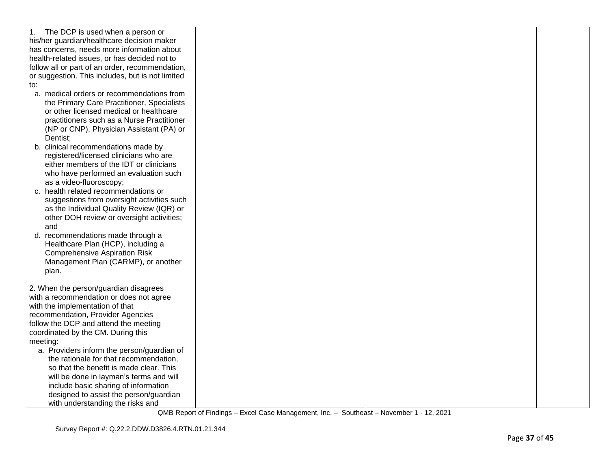| The DCP is used when a person or<br>1.<br>his/her guardian/healthcare decision maker<br>has concerns, needs more information about<br>health-related issues, or has decided not to<br>follow all or part of an order, recommendation,<br>or suggestion. This includes, but is not limited<br>to:<br>a. medical orders or recommendations from<br>the Primary Care Practitioner, Specialists |  |  |
|---------------------------------------------------------------------------------------------------------------------------------------------------------------------------------------------------------------------------------------------------------------------------------------------------------------------------------------------------------------------------------------------|--|--|
| or other licensed medical or healthcare<br>practitioners such as a Nurse Practitioner<br>(NP or CNP), Physician Assistant (PA) or<br>Dentist;<br>b. clinical recommendations made by<br>registered/licensed clinicians who are                                                                                                                                                              |  |  |
| either members of the IDT or clinicians<br>who have performed an evaluation such<br>as a video-fluoroscopy;<br>c. health related recommendations or<br>suggestions from oversight activities such<br>as the Individual Quality Review (IQR) or<br>other DOH review or oversight activities;                                                                                                 |  |  |
| and<br>d. recommendations made through a<br>Healthcare Plan (HCP), including a<br><b>Comprehensive Aspiration Risk</b><br>Management Plan (CARMP), or another<br>plan.                                                                                                                                                                                                                      |  |  |
| 2. When the person/guardian disagrees<br>with a recommendation or does not agree<br>with the implementation of that<br>recommendation, Provider Agencies<br>follow the DCP and attend the meeting<br>coordinated by the CM. During this<br>meeting:<br>a. Providers inform the person/guardian of                                                                                           |  |  |
| the rationale for that recommendation,<br>so that the benefit is made clear. This<br>will be done in layman's terms and will<br>include basic sharing of information<br>designed to assist the person/guardian<br>with understanding the risks and                                                                                                                                          |  |  |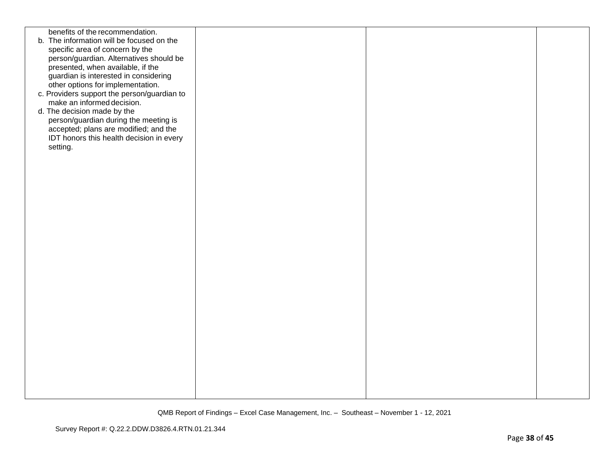| benefits of the recommendation.<br>b. The information will be focused on the<br>specific area of concern by the<br>person/guardian. Alternatives should be<br>presented, when available, if the<br>guardian is interested in considering<br>other options for implementation.<br>c. Providers support the person/guardian to<br>make an informed decision.<br>d. The decision made by the<br>person/guardian during the meeting is<br>accepted; plans are modified; and the<br>IDT honors this health decision in every<br>setting. |  |  |
|-------------------------------------------------------------------------------------------------------------------------------------------------------------------------------------------------------------------------------------------------------------------------------------------------------------------------------------------------------------------------------------------------------------------------------------------------------------------------------------------------------------------------------------|--|--|
|                                                                                                                                                                                                                                                                                                                                                                                                                                                                                                                                     |  |  |
|                                                                                                                                                                                                                                                                                                                                                                                                                                                                                                                                     |  |  |
|                                                                                                                                                                                                                                                                                                                                                                                                                                                                                                                                     |  |  |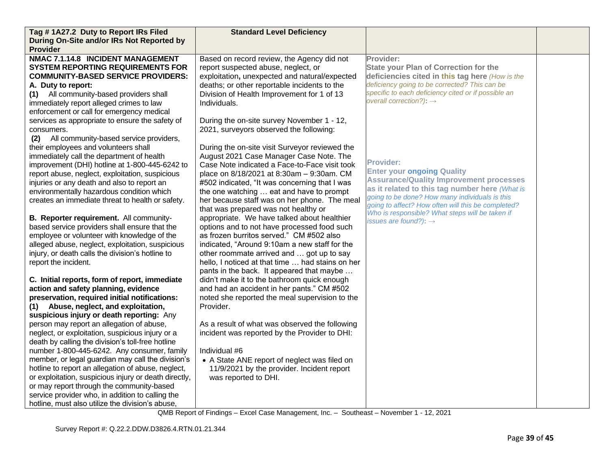| Tag #1A27.2 Duty to Report IRs Filed                  | <b>Standard Level Deficiency</b>                 |                                                                                                      |  |
|-------------------------------------------------------|--------------------------------------------------|------------------------------------------------------------------------------------------------------|--|
| During On-Site and/or IRs Not Reported by             |                                                  |                                                                                                      |  |
| <b>Provider</b>                                       |                                                  |                                                                                                      |  |
| NMAC 7.1.14.8 INCIDENT MANAGEMENT                     | Based on record review, the Agency did not       | Provider:                                                                                            |  |
| <b>SYSTEM REPORTING REQUIREMENTS FOR</b>              | report suspected abuse, neglect, or              | <b>State your Plan of Correction for the</b>                                                         |  |
| <b>COMMUNITY-BASED SERVICE PROVIDERS:</b>             | exploitation, unexpected and natural/expected    | deficiencies cited in this tag here (How is the                                                      |  |
| A. Duty to report:                                    | deaths; or other reportable incidents to the     | deficiency going to be corrected? This can be                                                        |  |
| All community-based providers shall<br>(1)            | Division of Health Improvement for 1 of 13       | specific to each deficiency cited or if possible an                                                  |  |
| immediately report alleged crimes to law              | Individuals.                                     | overall correction?): $\rightarrow$                                                                  |  |
| enforcement or call for emergency medical             |                                                  |                                                                                                      |  |
| services as appropriate to ensure the safety of       | During the on-site survey November 1 - 12,       |                                                                                                      |  |
| consumers.                                            | 2021, surveyors observed the following:          |                                                                                                      |  |
| All community-based service providers,<br>(2)         |                                                  |                                                                                                      |  |
| their employees and volunteers shall                  | During the on-site visit Surveyor reviewed the   |                                                                                                      |  |
| immediately call the department of health             | August 2021 Case Manager Case Note. The          |                                                                                                      |  |
| improvement (DHI) hotline at 1-800-445-6242 to        | Case Note indicated a Face-to-Face visit took    | <b>Provider:</b>                                                                                     |  |
| report abuse, neglect, exploitation, suspicious       | place on 8/18/2021 at 8:30am - 9:30am. CM        | <b>Enter your ongoing Quality</b>                                                                    |  |
| injuries or any death and also to report an           | #502 indicated, "It was concerning that I was    | <b>Assurance/Quality Improvement processes</b>                                                       |  |
| environmentally hazardous condition which             | the one watching  eat and have to prompt         | as it related to this tag number here (What is                                                       |  |
| creates an immediate threat to health or safety.      | her because staff was on her phone. The meal     | going to be done? How many individuals is this<br>going to affect? How often will this be completed? |  |
|                                                       | that was prepared was not healthy or             | Who is responsible? What steps will be taken if                                                      |  |
| B. Reporter requirement. All community-               | appropriate. We have talked about healthier      | issues are found?): $\rightarrow$                                                                    |  |
| based service providers shall ensure that the         | options and to not have processed food such      |                                                                                                      |  |
| employee or volunteer with knowledge of the           | as frozen burritos served." CM #502 also         |                                                                                                      |  |
| alleged abuse, neglect, exploitation, suspicious      | indicated, "Around 9:10am a new staff for the    |                                                                                                      |  |
| injury, or death calls the division's hotline to      | other roommate arrived and  got up to say        |                                                                                                      |  |
| report the incident.                                  | hello, I noticed at that time  had stains on her |                                                                                                      |  |
|                                                       | pants in the back. It appeared that maybe        |                                                                                                      |  |
| C. Initial reports, form of report, immediate         | didn't make it to the bathroom quick enough      |                                                                                                      |  |
| action and safety planning, evidence                  | and had an accident in her pants." CM #502       |                                                                                                      |  |
| preservation, required initial notifications:         | noted she reported the meal supervision to the   |                                                                                                      |  |
| (1) Abuse, neglect, and exploitation,                 | Provider.                                        |                                                                                                      |  |
| suspicious injury or death reporting: Any             |                                                  |                                                                                                      |  |
| person may report an allegation of abuse,             | As a result of what was observed the following   |                                                                                                      |  |
| neglect, or exploitation, suspicious injury or a      | incident was reported by the Provider to DHI:    |                                                                                                      |  |
| death by calling the division's toll-free hotline     |                                                  |                                                                                                      |  |
| number 1-800-445-6242. Any consumer, family           | Individual #6                                    |                                                                                                      |  |
| member, or legal guardian may call the division's     | • A State ANE report of neglect was filed on     |                                                                                                      |  |
| hotline to report an allegation of abuse, neglect,    | 11/9/2021 by the provider. Incident report       |                                                                                                      |  |
| or exploitation, suspicious injury or death directly, | was reported to DHI.                             |                                                                                                      |  |
| or may report through the community-based             |                                                  |                                                                                                      |  |
| service provider who, in addition to calling the      |                                                  |                                                                                                      |  |
| hotline, must also utilize the division's abuse,      |                                                  |                                                                                                      |  |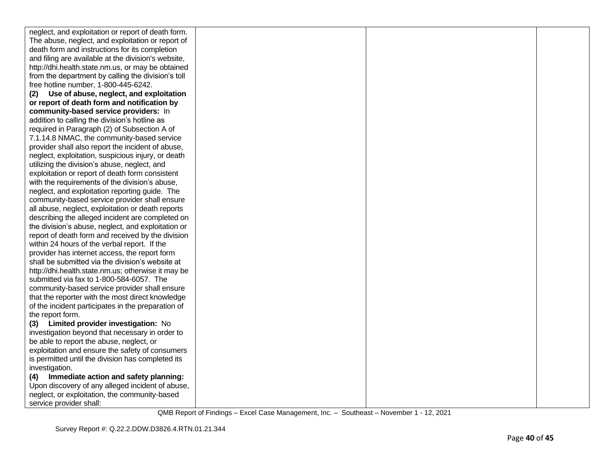| neglect, and exploitation or report of death form.  |  |  |
|-----------------------------------------------------|--|--|
| The abuse, neglect, and exploitation or report of   |  |  |
| death form and instructions for its completion      |  |  |
| and filing are available at the division's website, |  |  |
| http://dhi.health.state.nm.us, or may be obtained   |  |  |
| from the department by calling the division's toll  |  |  |
| free hotline number, 1-800-445-6242.                |  |  |
| Use of abuse, neglect, and exploitation<br>(2)      |  |  |
| or report of death form and notification by         |  |  |
| community-based service providers: In               |  |  |
| addition to calling the division's hotline as       |  |  |
| required in Paragraph (2) of Subsection A of        |  |  |
| 7.1.14.8 NMAC, the community-based service          |  |  |
| provider shall also report the incident of abuse,   |  |  |
| neglect, exploitation, suspicious injury, or death  |  |  |
| utilizing the division's abuse, neglect, and        |  |  |
| exploitation or report of death form consistent     |  |  |
| with the requirements of the division's abuse,      |  |  |
| neglect, and exploitation reporting guide. The      |  |  |
| community-based service provider shall ensure       |  |  |
| all abuse, neglect, exploitation or death reports   |  |  |
| describing the alleged incident are completed on    |  |  |
| the division's abuse, neglect, and exploitation or  |  |  |
| report of death form and received by the division   |  |  |
| within 24 hours of the verbal report. If the        |  |  |
| provider has internet access, the report form       |  |  |
| shall be submitted via the division's website at    |  |  |
| http://dhi.health.state.nm.us; otherwise it may be  |  |  |
| submitted via fax to 1-800-584-6057. The            |  |  |
| community-based service provider shall ensure       |  |  |
| that the reporter with the most direct knowledge    |  |  |
| of the incident participates in the preparation of  |  |  |
| the report form.                                    |  |  |
| Limited provider investigation: No<br>(3)           |  |  |
| investigation beyond that necessary in order to     |  |  |
| be able to report the abuse, neglect, or            |  |  |
| exploitation and ensure the safety of consumers     |  |  |
| is permitted until the division has completed its   |  |  |
| investigation.                                      |  |  |
| Immediate action and safety planning:<br>(4)        |  |  |
| Upon discovery of any alleged incident of abuse,    |  |  |
| neglect, or exploitation, the community-based       |  |  |
| service provider shall:                             |  |  |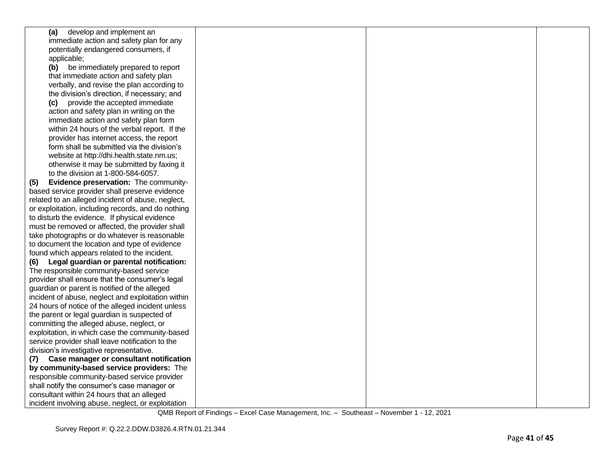| develop and implement an<br>(a)                    |  |  |
|----------------------------------------------------|--|--|
| immediate action and safety plan for any           |  |  |
| potentially endangered consumers, if               |  |  |
| applicable;                                        |  |  |
| (b)<br>be immediately prepared to report           |  |  |
| that immediate action and safety plan              |  |  |
| verbally, and revise the plan according to         |  |  |
| the division's direction, if necessary; and        |  |  |
| (c) provide the accepted immediate                 |  |  |
| action and safety plan in writing on the           |  |  |
| immediate action and safety plan form              |  |  |
| within 24 hours of the verbal report. If the       |  |  |
| provider has internet access, the report           |  |  |
| form shall be submitted via the division's         |  |  |
| website at http://dhi.health.state.nm.us;          |  |  |
| otherwise it may be submitted by faxing it         |  |  |
| to the division at 1-800-584-6057.                 |  |  |
| Evidence preservation: The community-<br>(5)       |  |  |
| based service provider shall preserve evidence     |  |  |
| related to an alleged incident of abuse, neglect,  |  |  |
| or exploitation, including records, and do nothing |  |  |
| to disturb the evidence. If physical evidence      |  |  |
| must be removed or affected, the provider shall    |  |  |
| take photographs or do whatever is reasonable      |  |  |
| to document the location and type of evidence      |  |  |
| found which appears related to the incident.       |  |  |
| Legal guardian or parental notification:<br>(6)    |  |  |
| The responsible community-based service            |  |  |
| provider shall ensure that the consumer's legal    |  |  |
| guardian or parent is notified of the alleged      |  |  |
| incident of abuse, neglect and exploitation within |  |  |
| 24 hours of notice of the alleged incident unless  |  |  |
| the parent or legal guardian is suspected of       |  |  |
| committing the alleged abuse, neglect, or          |  |  |
| exploitation, in which case the community-based    |  |  |
| service provider shall leave notification to the   |  |  |
| division's investigative representative.           |  |  |
| Case manager or consultant notification<br>(7)     |  |  |
| by community-based service providers: The          |  |  |
| responsible community-based service provider       |  |  |
| shall notify the consumer's case manager or        |  |  |
| consultant within 24 hours that an alleged         |  |  |
| incident involving abuse, neglect, or exploitation |  |  |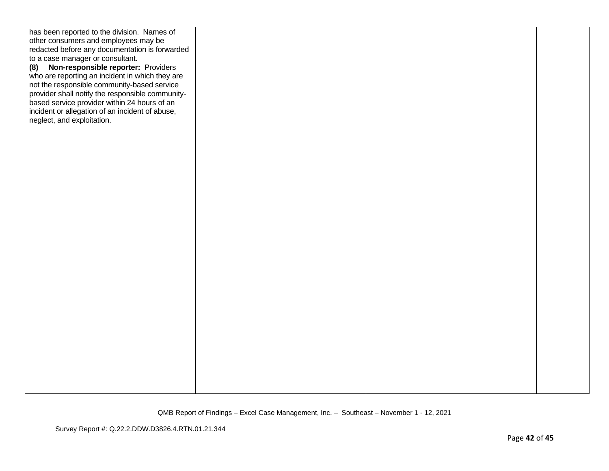| has been reported to the division. Names of      |  |  |
|--------------------------------------------------|--|--|
| other consumers and employees may be             |  |  |
| redacted before any documentation is forwarded   |  |  |
| to a case manager or consultant.                 |  |  |
| Non-responsible reporter: Providers<br>(8)       |  |  |
| who are reporting an incident in which they are  |  |  |
| not the responsible community-based service      |  |  |
| provider shall notify the responsible community- |  |  |
| based service provider within 24 hours of an     |  |  |
| incident or allegation of an incident of abuse,  |  |  |
| neglect, and exploitation.                       |  |  |
|                                                  |  |  |
|                                                  |  |  |
|                                                  |  |  |
|                                                  |  |  |
|                                                  |  |  |
|                                                  |  |  |
|                                                  |  |  |
|                                                  |  |  |
|                                                  |  |  |
|                                                  |  |  |
|                                                  |  |  |
|                                                  |  |  |
|                                                  |  |  |
|                                                  |  |  |
|                                                  |  |  |
|                                                  |  |  |
|                                                  |  |  |
|                                                  |  |  |
|                                                  |  |  |
|                                                  |  |  |
|                                                  |  |  |
|                                                  |  |  |
|                                                  |  |  |
|                                                  |  |  |
|                                                  |  |  |
|                                                  |  |  |
|                                                  |  |  |
|                                                  |  |  |
|                                                  |  |  |
|                                                  |  |  |
|                                                  |  |  |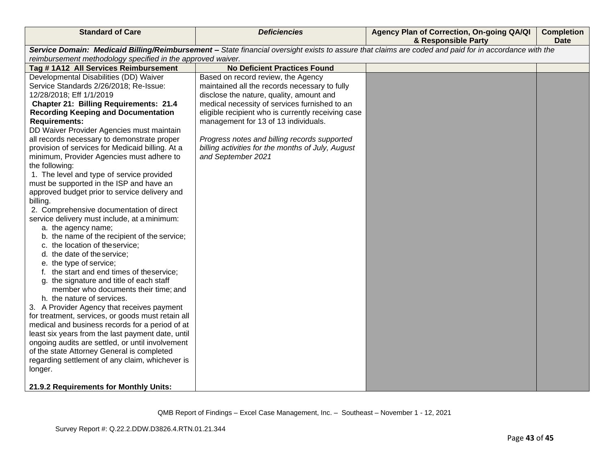| <b>Standard of Care</b>                                     | <b>Deficiencies</b>                                                                                                                                   | Agency Plan of Correction, On-going QA/QI<br>& Responsible Party | <b>Completion</b><br><b>Date</b> |
|-------------------------------------------------------------|-------------------------------------------------------------------------------------------------------------------------------------------------------|------------------------------------------------------------------|----------------------------------|
|                                                             | Service Domain: Medicaid Billing/Reimbursement - State financial oversight exists to assure that claims are coded and paid for in accordance with the |                                                                  |                                  |
| reimbursement methodology specified in the approved waiver. |                                                                                                                                                       |                                                                  |                                  |
| Tag #1A12 All Services Reimbursement                        | <b>No Deficient Practices Found</b>                                                                                                                   |                                                                  |                                  |
| Developmental Disabilities (DD) Waiver                      | Based on record review, the Agency                                                                                                                    |                                                                  |                                  |
| Service Standards 2/26/2018; Re-Issue:                      | maintained all the records necessary to fully                                                                                                         |                                                                  |                                  |
| 12/28/2018; Eff 1/1/2019                                    | disclose the nature, quality, amount and                                                                                                              |                                                                  |                                  |
| <b>Chapter 21: Billing Requirements: 21.4</b>               | medical necessity of services furnished to an                                                                                                         |                                                                  |                                  |
| <b>Recording Keeping and Documentation</b>                  | eligible recipient who is currently receiving case                                                                                                    |                                                                  |                                  |
| <b>Requirements:</b>                                        | management for 13 of 13 individuals.                                                                                                                  |                                                                  |                                  |
| DD Waiver Provider Agencies must maintain                   |                                                                                                                                                       |                                                                  |                                  |
| all records necessary to demonstrate proper                 | Progress notes and billing records supported                                                                                                          |                                                                  |                                  |
| provision of services for Medicaid billing. At a            | billing activities for the months of July, August                                                                                                     |                                                                  |                                  |
| minimum, Provider Agencies must adhere to                   | and September 2021                                                                                                                                    |                                                                  |                                  |
| the following:                                              |                                                                                                                                                       |                                                                  |                                  |
| 1. The level and type of service provided                   |                                                                                                                                                       |                                                                  |                                  |
| must be supported in the ISP and have an                    |                                                                                                                                                       |                                                                  |                                  |
| approved budget prior to service delivery and<br>billing.   |                                                                                                                                                       |                                                                  |                                  |
| 2. Comprehensive documentation of direct                    |                                                                                                                                                       |                                                                  |                                  |
| service delivery must include, at a minimum:                |                                                                                                                                                       |                                                                  |                                  |
| a. the agency name;                                         |                                                                                                                                                       |                                                                  |                                  |
| b. the name of the recipient of the service;                |                                                                                                                                                       |                                                                  |                                  |
| c. the location of theservice;                              |                                                                                                                                                       |                                                                  |                                  |
| d. the date of the service;                                 |                                                                                                                                                       |                                                                  |                                  |
| e. the type of service;                                     |                                                                                                                                                       |                                                                  |                                  |
| f. the start and end times of theservice;                   |                                                                                                                                                       |                                                                  |                                  |
| g. the signature and title of each staff                    |                                                                                                                                                       |                                                                  |                                  |
| member who documents their time; and                        |                                                                                                                                                       |                                                                  |                                  |
| h. the nature of services.                                  |                                                                                                                                                       |                                                                  |                                  |
| 3. A Provider Agency that receives payment                  |                                                                                                                                                       |                                                                  |                                  |
| for treatment, services, or goods must retain all           |                                                                                                                                                       |                                                                  |                                  |
| medical and business records for a period of at             |                                                                                                                                                       |                                                                  |                                  |
| least six years from the last payment date, until           |                                                                                                                                                       |                                                                  |                                  |
| ongoing audits are settled, or until involvement            |                                                                                                                                                       |                                                                  |                                  |
| of the state Attorney General is completed                  |                                                                                                                                                       |                                                                  |                                  |
| regarding settlement of any claim, whichever is             |                                                                                                                                                       |                                                                  |                                  |
| longer.                                                     |                                                                                                                                                       |                                                                  |                                  |
| 21.9.2 Requirements for Monthly Units:                      |                                                                                                                                                       |                                                                  |                                  |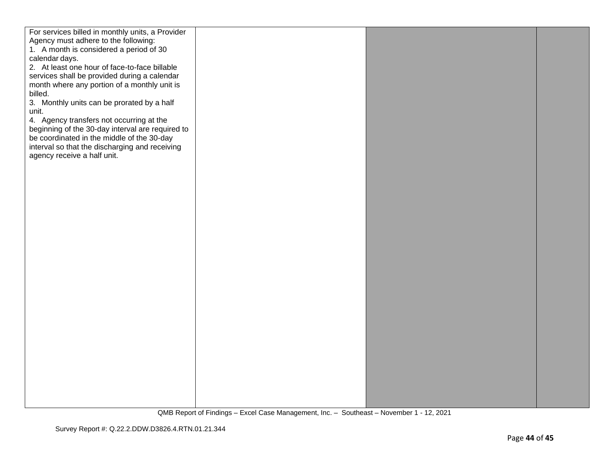| For services billed in monthly units, a Provider |  |  |
|--------------------------------------------------|--|--|
| Agency must adhere to the following:             |  |  |
| 1. A month is considered a period of 30          |  |  |
|                                                  |  |  |
| calendar days.                                   |  |  |
| 2. At least one hour of face-to-face billable    |  |  |
| services shall be provided during a calendar     |  |  |
| month where any portion of a monthly unit is     |  |  |
| billed.                                          |  |  |
| 3. Monthly units can be prorated by a half       |  |  |
|                                                  |  |  |
| unit.                                            |  |  |
| 4. Agency transfers not occurring at the         |  |  |
| beginning of the 30-day interval are required to |  |  |
| be coordinated in the middle of the 30-day       |  |  |
| interval so that the discharging and receiving   |  |  |
| agency receive a half unit.                      |  |  |
|                                                  |  |  |
|                                                  |  |  |
|                                                  |  |  |
|                                                  |  |  |
|                                                  |  |  |
|                                                  |  |  |
|                                                  |  |  |
|                                                  |  |  |
|                                                  |  |  |
|                                                  |  |  |
|                                                  |  |  |
|                                                  |  |  |
|                                                  |  |  |
|                                                  |  |  |
|                                                  |  |  |
|                                                  |  |  |
|                                                  |  |  |
|                                                  |  |  |
|                                                  |  |  |
|                                                  |  |  |
|                                                  |  |  |
|                                                  |  |  |
|                                                  |  |  |
|                                                  |  |  |
|                                                  |  |  |
|                                                  |  |  |
|                                                  |  |  |
|                                                  |  |  |
|                                                  |  |  |
|                                                  |  |  |
|                                                  |  |  |
|                                                  |  |  |
|                                                  |  |  |